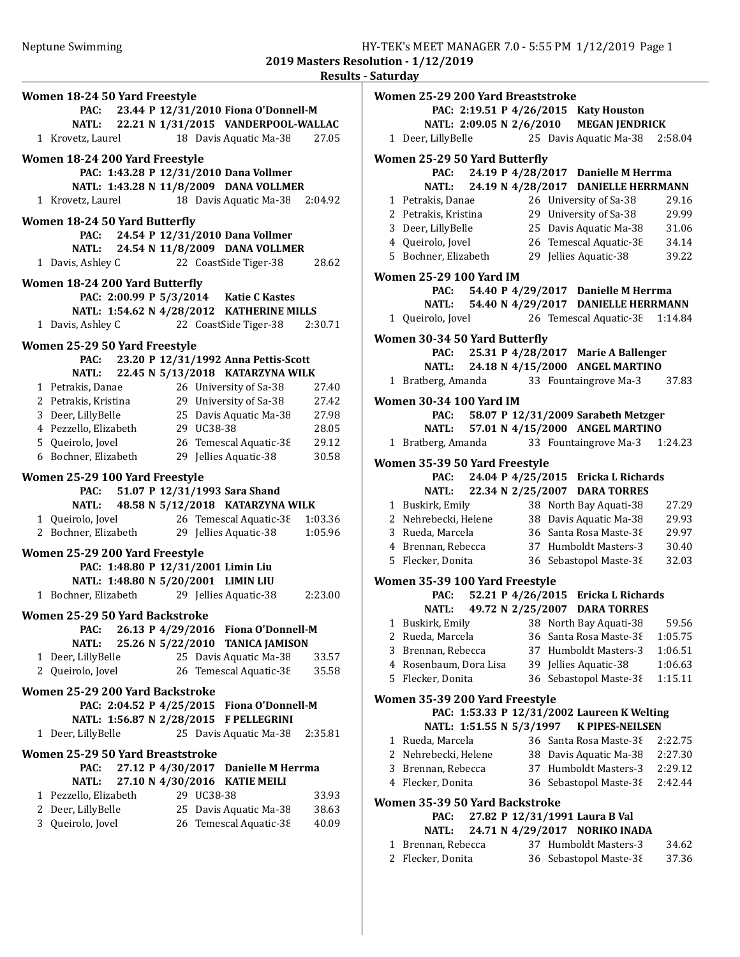| Women 18-24 50 Yard Freestyle              |                                            |
|--------------------------------------------|--------------------------------------------|
|                                            | PAC: 23.44 P 12/31/2010 Fiona O'Donnell-M  |
|                                            | NATL: 22.21 N 1/31/2015 VANDERPOOL-WALLAC  |
| 1 Krovetz, Laurel                          | 18 Davis Aquatic Ma-38<br>27.05            |
|                                            |                                            |
| Women 18-24 200 Yard Freestyle             |                                            |
|                                            | PAC: 1:43.28 P 12/31/2010 Dana Vollmer     |
|                                            | NATL: 1:43.28 N 11/8/2009 DANA VOLLMER     |
| 1 Krovetz, Laurel                          | 18 Davis Aquatic Ma-38<br>2:04.92          |
| <b>Women 18-24 50 Yard Butterfly</b>       |                                            |
| PAC:                                       | 24.54 P 12/31/2010 Dana Vollmer            |
|                                            | NATL: 24.54 N 11/8/2009 DANA VOLLMER       |
| 1 Davis, Ashley C                          | 22 CoastSide Tiger-38<br>28.62             |
|                                            |                                            |
| Women 18-24 200 Yard Butterfly             |                                            |
|                                            | PAC: 2:00.99 P 5/3/2014 Katie C Kastes     |
|                                            | NATL: 1:54.62 N 4/28/2012 KATHERINE MILLS  |
| 1 Davis, Ashley C                          | 22 CoastSide Tiger-38 2:30.71              |
| Women 25-29 50 Yard Freestyle              |                                            |
|                                            | PAC: 23.20 P 12/31/1992 Anna Pettis-Scott  |
|                                            | NATL: 22.45 N 5/13/2018 KATARZYNA WILK     |
| 1 Petrakis, Danae                          | 26 University of Sa-38<br>27.40            |
| 2 Petrakis, Kristina                       | 29 University of Sa-38<br>27.42            |
| 3 Deer, LillyBelle                         | 25 Davis Aquatic Ma-38<br>27.98            |
| 4 Pezzello, Elizabeth                      | 29 UC38-38<br>28.05                        |
| 5 Queirolo, Jovel                          | 26 Temescal Aquatic-38<br>29.12            |
| 6 Bochner, Elizabeth                       | 29 Jellies Aquatic-38<br>30.58             |
|                                            |                                            |
| Women 25-29 100 Yard Freestyle             |                                            |
|                                            |                                            |
| PAC:                                       | 51.07 P 12/31/1993 Sara Shand              |
|                                            | NATL: 48.58 N 5/12/2018 KATARZYNA WILK     |
| 1 Queirolo, Jovel                          | 26 Temescal Aquatic-38<br>1:03.36          |
| 2 Bochner, Elizabeth                       | 29 Jellies Aquatic-38<br>1:05.96           |
| Women 25-29 200 Yard Freestyle             |                                            |
|                                            | PAC: 1:48.80 P 12/31/2001 Limin Liu        |
|                                            | NATL: 1:48.80 N 5/20/2001 LIMIN LIU        |
| 1 Bochner, Elizabeth 29 Jellies Aquatic-38 | 2:23.00                                    |
|                                            |                                            |
| Women 25-29 50 Yard Backstroke             |                                            |
| PAC:                                       | 26.13 P 4/29/2016 Fiona O'Donnell-M        |
| <b>NATL:</b>                               | 25.26 N 5/22/2010 TANICA JAMISON           |
| 1 Deer, LillyBelle                         | 25 Davis Aquatic Ma-38<br>33.57            |
| 2 Queirolo, Jovel                          | 26 Temescal Aquatic-38<br>35.58            |
| Women 25-29 200 Yard Backstroke            |                                            |
|                                            | PAC: 2:04.52 P 4/25/2015 Fiona O'Donnell-M |
| NATL: 1:56.87 N 2/28/2015                  | <b>F PELLEGRINI</b>                        |
| 1 Deer, LillyBelle                         | 25 Davis Aquatic Ma-38<br>2:35.81          |
|                                            |                                            |
| Women 25-29 50 Yard Breaststroke           |                                            |
| PAC:                                       | 27.12 P 4/30/2017<br>Danielle M Herrma     |
| NATL:                                      | 27.10 N 4/30/2016<br><b>KATIE MEILI</b>    |
| 1 Pezzello, Elizabeth                      | 29 UC38-38<br>33.93                        |
| 2 Deer, LillyBelle                         | 25 Davis Aquatic Ma-38<br>38.63            |
| 3 Queirolo, Jovel                          | 26 Temescal Aquatic-38<br>40.09            |
|                                            |                                            |

|   | Women 25-29 200 Yard Breaststroke      |                          |    |                                                 |                    |
|---|----------------------------------------|--------------------------|----|-------------------------------------------------|--------------------|
|   |                                        |                          |    | PAC: 2:19.51 P 4/26/2015 Katy Houston           |                    |
|   |                                        |                          |    | NATL: 2:09.05 N 2/6/2010 MEGAN JENDRICK         |                    |
|   | 1 Deer, LillyBelle                     |                          |    | 25 Davis Aquatic Ma-38                          | 2:58.04            |
|   | Women 25-29 50 Yard Butterfly          |                          |    |                                                 |                    |
|   | PAC:                                   |                          |    | 24.19 P 4/28/2017 Danielle M Herrma             |                    |
|   | <b>NATL:</b>                           |                          |    | 24.19 N 4/28/2017 DANIELLE HERRMANN             |                    |
|   | 1 Petrakis, Danae                      |                          |    | 26 University of Sa-38                          | 29.16              |
|   | 2 Petrakis, Kristina                   |                          |    | 29 University of Sa-38                          | 29.99              |
|   | 3 Deer, LillyBelle                     |                          |    | 25 Davis Aquatic Ma-38                          | 31.06              |
|   | 4 Queirolo, Jovel                      |                          |    | 26 Temescal Aquatic-38                          | 34.14              |
|   | 5 Bochner, Elizabeth                   |                          |    | 29 Jellies Aquatic-38                           | 39.22              |
|   |                                        |                          |    |                                                 |                    |
|   | Women 25-29 100 Yard IM<br>PAC:        |                          |    | 54.40 P 4/29/2017 Danielle M Herrma             |                    |
|   |                                        |                          |    | NATL: 54.40 N 4/29/2017 DANIELLE HERRMANN       |                    |
|   | 1 Queirolo, Jovel                      |                          |    | 26 Temescal Aquatic-38 1:14.84                  |                    |
|   |                                        |                          |    |                                                 |                    |
|   | Women 30-34 50 Yard Butterfly          |                          |    |                                                 |                    |
|   | PAC:                                   |                          |    | 25.31 P 4/28/2017 Marie A Ballenger             |                    |
|   | <b>NATL:</b>                           |                          |    | 24.18 N 4/15/2000 ANGEL MARTINO                 |                    |
|   | 1 Bratberg, Amanda                     |                          |    | 33 Fountaingrove Ma-3                           | 37.83              |
|   | Women 30-34 100 Yard IM                |                          |    |                                                 |                    |
|   |                                        |                          |    | PAC: 58.07 P 12/31/2009 Sarabeth Metzger        |                    |
|   | <b>NATL:</b>                           |                          |    | 57.01 N 4/15/2000 ANGEL MARTINO                 |                    |
|   | 1 Bratberg, Amanda                     |                          |    | 33 Fountaingrove Ma-3                           | 1:24.23            |
|   | Women 35-39 50 Yard Freestyle          |                          |    |                                                 |                    |
|   | PAC:                                   |                          |    | 24.04 P 4/25/2015 Ericka L Richards             |                    |
|   |                                        |                          |    | NATL: 22.34 N 2/25/2007 DARA TORRES             |                    |
|   | 1 Buskirk, Emily                       |                          |    | 38 North Bay Aquati-38                          | 27.29              |
|   | 2 Nehrebecki, Helene                   |                          |    | 38 Davis Aquatic Ma-38                          | 29.93              |
|   | 3 Rueda, Marcela                       |                          |    | 36 Santa Rosa Maste-38                          | 29.97              |
|   | 4 Brennan, Rebecca                     |                          |    | 37 Humboldt Masters-3                           | 30.40              |
|   | 5 Flecker, Donita                      |                          |    | 36 Sebastopol Maste-38                          | 32.03              |
|   |                                        |                          |    |                                                 |                    |
|   | Women 35-39 100 Yard Freestyle<br>PAC: |                          |    | 52.21 P 4/26/2015 Ericka L Richards             |                    |
|   |                                        |                          |    | NATL: 49.72 N 2/25/2007 DARA TORRES             |                    |
|   |                                        |                          |    | 1 Buskirk, Emily 38 North Bay Aquati-38         | 59.56              |
| 2 | Rueda, Marcela                         |                          |    | 36 Santa Rosa Maste-38                          | 1:05.75            |
| 3 | Brennan, Rebecca                       |                          |    | 37 Humboldt Masters-3                           | 1:06.51            |
|   | 4 Rosenbaum, Dora Lisa                 |                          |    | 39 Jellies Aquatic-38                           | 1:06.63            |
| 5 | Flecker, Donita                        |                          | 36 | Sebastopol Maste-38                             | 1:15.11            |
|   |                                        |                          |    |                                                 |                    |
|   | Women 35-39 200 Yard Freestyle         |                          |    |                                                 |                    |
|   |                                        |                          |    | PAC: 1:53.33 P 12/31/2002 Laureen K Welting     |                    |
|   |                                        | NATL: 1:51.55 N 5/3/1997 |    | <b>K PIPES-NEILSEN</b>                          |                    |
| 1 | Rueda, Marcela                         |                          |    | 36 Santa Rosa Maste-38                          | 2:22.75            |
| 3 | 2 Nehrebecki, Helene                   |                          |    | 38 Davis Aquatic Ma-38                          | 2:27.30            |
| 4 | Brennan, Rebecca<br>Flecker, Donita    |                          |    | 37 Humboldt Masters-3<br>36 Sebastopol Maste-38 | 2:29.12<br>2:42.44 |
|   |                                        |                          |    |                                                 |                    |
|   | Women 35-39 50 Yard Backstroke         |                          |    |                                                 |                    |
|   | PAC:                                   |                          |    | 27.82 P 12/31/1991 Laura B Val                  |                    |
|   | <b>NATL:</b>                           |                          |    | 24.71 N 4/29/2017 NORIKO INADA                  |                    |
| 1 | Brennan, Rebecca                       |                          |    | 37 Humboldt Masters-3                           | 34.62              |
| 2 | Flecker, Donita                        |                          | 36 | Sebastopol Maste-38                             | 37.36              |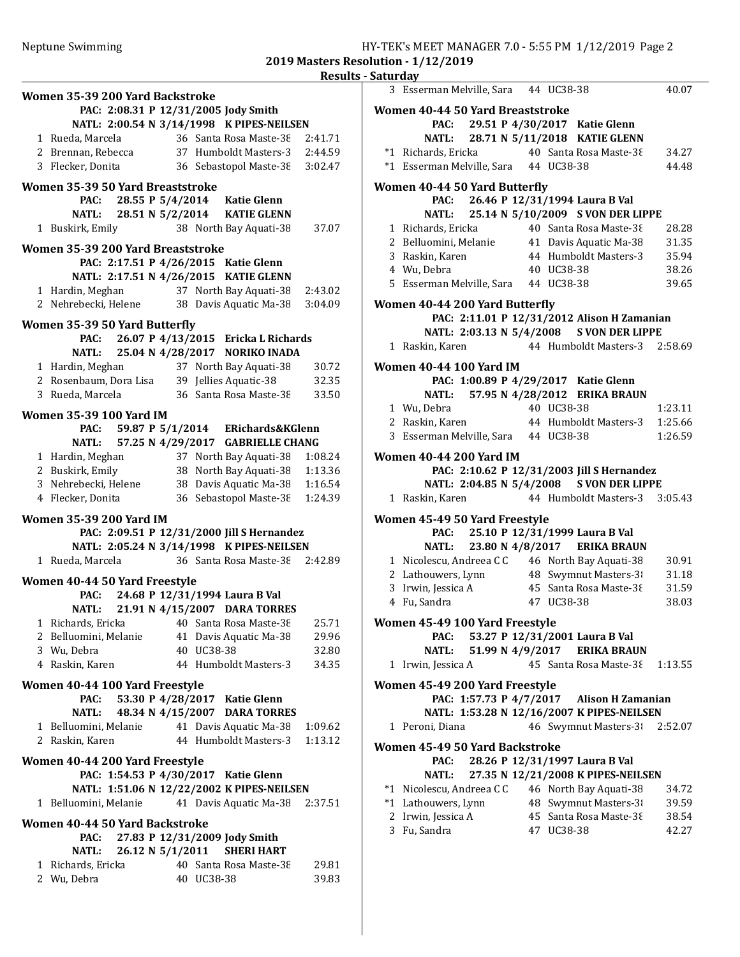2019 Masters Resolution - 1/12/2019

|  | Results - Saturday |  |
|--|--------------------|--|
|  |                    |  |

|                                        |                  |                                                                                         | nesults |
|----------------------------------------|------------------|-----------------------------------------------------------------------------------------|---------|
| Women 35-39 200 Yard Backstroke        |                  |                                                                                         |         |
|                                        |                  | PAC: 2:08.31 P 12/31/2005 Jody Smith                                                    |         |
|                                        |                  | NATL: 2:00.54 N 3/14/1998 K PIPES-NEILSEN                                               |         |
| 1 Rueda, Marcela                       |                  | 36 Santa Rosa Maste-38 2:41.71                                                          |         |
|                                        |                  | 2 Brennan, Rebecca 37 Humboldt Masters-3 2:44.59                                        |         |
| 3 Flecker, Donita                      |                  | 36 Sebastopol Maste-38 3:02.47                                                          |         |
|                                        |                  |                                                                                         |         |
| Women 35-39 50 Yard Breaststroke       |                  |                                                                                         |         |
|                                        |                  | PAC: 28.55 P 5/4/2014 Katie Glenn                                                       |         |
| <b>NATL:</b>                           |                  | 28.51 N 5/2/2014 KATIE GLENN                                                            |         |
| 1 Buskirk, Emily                       |                  | 38 North Bay Aquati-38                                                                  | 37.07   |
| Women 35-39 200 Yard Breaststroke      |                  |                                                                                         |         |
|                                        |                  | PAC: 2:17.51 P 4/26/2015 Katie Glenn                                                    |         |
|                                        |                  | NATL: 2:17.51 N 4/26/2015 KATIE GLENN                                                   |         |
|                                        |                  | 1 Hardin, Meghan 37 North Bay Aquati-38                                                 | 2:43.02 |
|                                        |                  | 2 Nehrebecki, Helene 38 Davis Aquatic Ma-38                                             | 3:04.09 |
|                                        |                  |                                                                                         |         |
| Women 35-39 50 Yard Butterfly          |                  |                                                                                         |         |
|                                        |                  | PAC: 26.07 P 4/13/2015 Ericka L Richards                                                |         |
|                                        |                  | NATL: 25.04 N 4/28/2017 NORIKO INADA                                                    |         |
|                                        |                  | 1 Hardin, Meghan 37 North Bay Aquati-38<br>2 Rosenbaum, Dora Lisa 39 Jellies Aquatic-38 | 30.72   |
|                                        |                  |                                                                                         | 32.35   |
| 3 Rueda, Marcela                       |                  | 36 Santa Rosa Maste-38                                                                  | 33.50   |
| <b>Women 35-39 100 Yard IM</b>         |                  |                                                                                         |         |
|                                        |                  | PAC: 59.87 P 5/1/2014 ERichards&KGlenn                                                  |         |
|                                        |                  | NATL: 57.25 N 4/29/2017 GABRIELLE CHANG                                                 |         |
|                                        |                  | 1 Hardin, Meghan 37 North Bay Aquati-38 1:08.24                                         |         |
|                                        |                  | 2 Buskirk, Emily 38 North Bay Aquati-38 1:13.36                                         |         |
|                                        |                  | 3 Nehrebecki, Helene 38 Davis Aquatic Ma-38 1:16.54                                     |         |
| 4 Flecker, Donita                      |                  | 36 Sebastopol Maste-38                                                                  | 1:24.39 |
|                                        |                  |                                                                                         |         |
| <b>Women 35-39 200 Yard IM</b>         |                  |                                                                                         |         |
|                                        |                  | PAC: 2:09.51 P 12/31/2000 Jill S Hernandez                                              |         |
|                                        |                  | NATL: 2:05.24 N 3/14/1998 K PIPES-NEILSEN                                               |         |
| 1 Rueda, Marcela                       |                  | 36 Santa Rosa Maste-38 2:42.89                                                          |         |
| Women 40-44 50 Yard Freestyle          |                  |                                                                                         |         |
|                                        |                  | PAC: 24.68 P 12/31/1994 Laura B Val                                                     |         |
|                                        |                  | NATL: 21.91 N 4/15/2007 DARA TORRES                                                     |         |
| 1 Richards, Ericka                     |                  | 40 Santa Rosa Maste-38                                                                  | 25.71   |
| 2 Belluomini, Melanie                  |                  | 41 Davis Aquatic Ma-38                                                                  | 29.96   |
| 3 Wu, Debra                            |                  | 40 UC38-38                                                                              | 32.80   |
| 4 Raskin, Karen                        |                  | 44 Humboldt Masters-3                                                                   | 34.35   |
|                                        |                  |                                                                                         |         |
| Women 40-44 100 Yard Freestyle<br>PAC: |                  |                                                                                         |         |
| <b>NATL:</b>                           |                  | 53.30 P 4/28/2017 Katie Glenn                                                           |         |
|                                        |                  | 48.34 N 4/15/2007 DARA TORRES                                                           |         |
| 1 Belluomini, Melanie                  |                  | 41 Davis Aquatic Ma-38                                                                  | 1:09.62 |
| 2 Raskin, Karen                        |                  | 44 Humboldt Masters-3                                                                   | 1:13.12 |
| Women 40-44 200 Yard Freestyle         |                  |                                                                                         |         |
|                                        |                  | PAC: 1:54.53 P 4/30/2017 Katie Glenn                                                    |         |
|                                        |                  | NATL: 1:51.06 N 12/22/2002 K PIPES-NEILSEN                                              |         |
| 1 Belluomini, Melanie                  |                  | 41 Davis Aquatic Ma-38                                                                  | 2:37.51 |
|                                        |                  |                                                                                         |         |
| Women 40-44 50 Yard Backstroke<br>PAC: |                  | 27.83 P 12/31/2009 Jody Smith                                                           |         |
| <b>NATL:</b>                           | 26.12 N 5/1/2011 | <b>SHERI HART</b>                                                                       |         |
| 1 Richards, Ericka                     |                  | 40 Santa Rosa Maste-38                                                                  | 29.81   |
| 2 Wu, Debra                            |                  | 40 UC38-38                                                                              | 39.83   |
|                                        |                  |                                                                                         |         |

| 3 Esserman Melville, Sara 44 UC38-38                                                |                                                                | 40.07          |
|-------------------------------------------------------------------------------------|----------------------------------------------------------------|----------------|
| Women 40-44 50 Yard Breaststroke                                                    |                                                                |                |
| PAC: 29.51 P 4/30/2017 Katie Glenn                                                  |                                                                |                |
|                                                                                     | NATL: 28.71 N 5/11/2018 KATIE GLENN                            |                |
|                                                                                     |                                                                | 34.27          |
| *1 Richards, Ericka 40 Santa Rosa Maste-38<br>*1 Esserman Melville, Sara 44 UC38-38 |                                                                | 44.48          |
| Women 40-44 50 Yard Butterfly                                                       |                                                                |                |
| PAC: 26.46 P 12/31/1994 Laura B Val                                                 |                                                                |                |
| <b>NATL:</b>                                                                        | 25.14 N 5/10/2009 S VON DER LIPPE                              |                |
| 1 Richards, Ericka                                                                  | 40 Santa Rosa Maste-38                                         | 28.28          |
| 2 Belluomini, Melanie 41 Davis Aquatic Ma-38 31.35                                  |                                                                |                |
| 3 Raskin, Karen                                                                     | 44 Humboldt Masters-3 35.94                                    |                |
| 4 Wu, Debra                                                                         | 40 UC38-38                                                     | 38.26          |
| 5 Esserman Melville, Sara 44 UC38-38                                                |                                                                | 39.65          |
| Women 40-44 200 Yard Butterfly                                                      |                                                                |                |
|                                                                                     | PAC: 2:11.01 P 12/31/2012 Alison H Zamanian                    |                |
|                                                                                     | NATL: 2:03.13 N 5/4/2008 S VON DER LIPPE                       |                |
| 1 Raskin, Karen                                                                     | 44 Humboldt Masters-3 2:58.69                                  |                |
|                                                                                     |                                                                |                |
| Women 40-44 100 Yard IM<br>PAC: 1:00.89 P 4/29/2017 Katie Glenn                     |                                                                |                |
| <b>NATL:</b>                                                                        | 57.95 N 4/28/2012 ERIKA BRAUN                                  |                |
| 1 Wu, Debra                                                                         | 40 UC38-38                                                     | 1:23.11        |
| 2 Raskin, Karen                                                                     | 44 Humboldt Masters-3 1:25.66                                  |                |
| 3 Esserman Melville, Sara 44 UC38-38                                                |                                                                | 1:26.59        |
| Women 40-44 200 Yard IM                                                             |                                                                |                |
|                                                                                     | PAC: 2:10.62 P 12/31/2003 Jill S Hernandez                     |                |
|                                                                                     | NATL: 2:04.85 N 5/4/2008 S VON DER LIPPE                       |                |
| 1 Raskin, Karen                                                                     | 44 Humboldt Masters-3 3:05.43                                  |                |
|                                                                                     |                                                                |                |
| Women 45-49 50 Yard Freestyle                                                       |                                                                |                |
| PAC: 25.10 P 12/31/1999 Laura B Val<br><b>NATL:</b>                                 | 23.80 N 4/8/2017 ERIKA BRAUN                                   |                |
| 1 Nicolescu, Andreea C C 46 North Bay Aquati-38                                     |                                                                | 30.91          |
| 2 Lathouwers, Lynn 48 Swymnut Masters-31 31.18                                      |                                                                |                |
| 3 Irwin, Jessica A 45 Santa Rosa Maste-38                                           |                                                                | 31.59          |
| 4 Fu, Sandra                                                                        | 47 UC38-38                                                     | 38.03          |
|                                                                                     |                                                                |                |
| Women 45-49 100 Yard Freestyle                                                      |                                                                |                |
| PAC:<br><b>NATL:</b>                                                                | 53.27 P 12/31/2001 Laura B Val<br>51.99 N 4/9/2017 ERIKA BRAUN |                |
| 1 Irwin, Jessica A                                                                  | 45 Santa Rosa Maste-38                                         | 1:13.55        |
|                                                                                     |                                                                |                |
| Women 45-49 200 Yard Freestyle                                                      |                                                                |                |
|                                                                                     | PAC: 1:57.73 P 4/7/2017 Alison H Zamanian                      |                |
|                                                                                     | NATL: 1:53.28 N 12/16/2007 K PIPES-NEILSEN                     |                |
| 1 Peroni, Diana                                                                     | 46 Swymnut Masters-31                                          | 2:52.07        |
| Women 45-49 50 Yard Backstroke                                                      |                                                                |                |
| PAC:                                                                                | 28.26 P 12/31/1997 Laura B Val                                 |                |
| <b>NATL:</b>                                                                        | 27.35 N 12/21/2008 K PIPES-NEILSEN                             |                |
| *1 Nicolescu, Andreea C C                                                           | 46 North Bay Aquati-38                                         | 34.72          |
| *1 Lathouwers, Lynn                                                                 | 48 Swymnut Masters-31                                          | 39.59          |
|                                                                                     |                                                                |                |
| 2 Irwin, Jessica A<br>3 Fu, Sandra                                                  | 45 Santa Rosa Maste-38<br>47 UC38-38                           | 38.54<br>42.27 |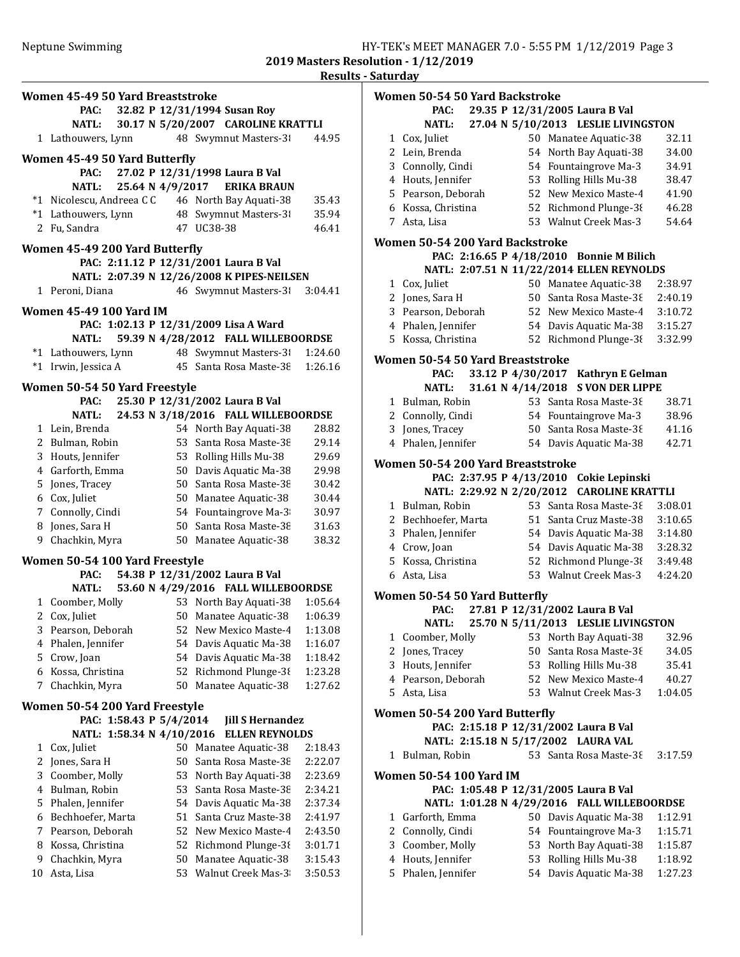|    |                                  |                           |      |                                                                                             | resul   |
|----|----------------------------------|---------------------------|------|---------------------------------------------------------------------------------------------|---------|
|    | Women 45-49 50 Yard Breaststroke |                           |      |                                                                                             |         |
|    | <b>PAC:</b>                      |                           |      | 32.82 P 12/31/1994 Susan Roy                                                                |         |
|    | <b>NATL:</b>                     |                           |      | 30.17 N 5/20/2007 CAROLINE KRATTLI                                                          |         |
|    | 1 Lathouwers, Lynn               |                           |      | 48 Swymnut Masters-3                                                                        | 44.95   |
|    |                                  |                           |      |                                                                                             |         |
|    | Women 45-49 50 Yard Butterfly    |                           |      | PAC: 27.02 P 12/31/1998 Laura B Val                                                         |         |
|    | <b>NATL:</b>                     |                           |      | 25.64 N 4/9/2017 ERIKA BRAUN                                                                |         |
|    |                                  |                           |      |                                                                                             | 35.43   |
|    |                                  |                           |      | *1 Nicolescu, Andreea CC 46 North Bay Aquati-38<br>*1 Lathouwers, Lynn 48 Swymnut Masters-3 | 35.94   |
|    | 2 Fu, Sandra                     |                           |      | 47 UC38-38                                                                                  | 46.41   |
|    |                                  |                           |      |                                                                                             |         |
|    | Women 45-49 200 Yard Butterfly   |                           |      |                                                                                             |         |
|    |                                  |                           |      | PAC: 2:11.12 P 12/31/2001 Laura B Val                                                       |         |
|    |                                  |                           |      | NATL: 2:07.39 N 12/26/2008 K PIPES-NEILSEN                                                  |         |
|    | 1 Peroni, Diana                  |                           |      | 46 Swymnut Masters-3                                                                        | 3:04.41 |
|    | <b>Women 45-49 100 Yard IM</b>   |                           |      |                                                                                             |         |
|    |                                  |                           |      | PAC: 1:02.13 P 12/31/2009 Lisa A Ward                                                       |         |
|    | NATL:                            |                           |      | 59.39 N 4/28/2012 FALL WILLEBOORDSE                                                         |         |
|    |                                  |                           |      | *1 Lathouwers, Lynn 48 Swymnut Masters-31 1:24.60                                           |         |
|    | *1 Irwin, Jessica A              |                           |      | 45 Santa Rosa Maste-38                                                                      | 1:26.16 |
|    | Women 50-54 50 Yard Freestyle    |                           |      |                                                                                             |         |
|    | PAC:                             |                           |      | 25.30 P 12/31/2002 Laura B Val                                                              |         |
|    | NATL:                            |                           |      | 24.53 N 3/18/2016 FALL WILLEBOORDSE                                                         |         |
|    | 1 Lein, Brenda                   |                           |      | 54 North Bay Aquati-38                                                                      | 28.82   |
|    | 2 Bulman, Robin                  |                           |      | 53 Santa Rosa Maste-38                                                                      | 29.14   |
|    | 3 Houts, Jennifer                |                           |      | 53 Rolling Hills Mu-38                                                                      | 29.69   |
|    | 4 Garforth, Emma                 |                           |      | 50 Davis Aquatic Ma-38                                                                      | 29.98   |
|    | 5 Jones, Tracey                  |                           |      | 50 Santa Rosa Maste-38                                                                      | 30.42   |
|    | 6 Cox, Juliet                    |                           |      | 50 Manatee Aquatic-38                                                                       | 30.44   |
|    | 7 Connolly, Cindi                |                           |      | 54 Fountaingrove Ma-3                                                                       | 30.97   |
|    | 8 Jones, Sara H                  |                           |      | 50 Santa Rosa Maste-38                                                                      | 31.63   |
|    | 9 Chachkin, Myra                 |                           |      | 50 Manatee Aquatic-38                                                                       | 38.32   |
|    | Women 50-54 100 Yard Freestyle   |                           |      |                                                                                             |         |
|    | <b>PAC:</b>                      |                           |      | 54.38 P 12/31/2002 Laura B Val                                                              |         |
|    | <b>NATL:</b>                     |                           |      | 53.60 N 4/29/2016 FALL WILLEBOORDSE                                                         |         |
|    | 1 Coomber, Molly                 |                           |      | 53 North Bay Aquati-38                                                                      | 1:05.64 |
|    | 2 Cox, Juliet                    |                           |      | 50 Manatee Aquatic-38 1:06.39                                                               |         |
| 3  | Pearson, Deborah                 |                           | 52   | New Mexico Maste-4                                                                          | 1:13.08 |
| 4  | Phalen, Jennifer                 |                           | 54   | Davis Aquatic Ma-38                                                                         | 1:16.07 |
|    | 5 Crow, Joan                     |                           | 54   | Davis Aquatic Ma-38                                                                         | 1:18.42 |
| 6  | Kossa, Christina                 |                           | 52   | Richmond Plunge-38                                                                          | 1:23.28 |
| 7  | Chachkin, Myra                   |                           | 50   | Manatee Aquatic-38                                                                          | 1:27.62 |
|    | Women 50-54 200 Yard Freestyle   |                           |      |                                                                                             |         |
|    |                                  | PAC: 1:58.43 P 5/4/2014   |      | <b>Jill S Hernandez</b>                                                                     |         |
|    |                                  | NATL: 1:58.34 N 4/10/2016 |      | <b>ELLEN REYNOLDS</b>                                                                       |         |
| 1  | Cox, Juliet                      |                           | 50 - | Manatee Aquatic-38                                                                          | 2:18.43 |
| 2  | Jones, Sara H                    |                           | 50   | Santa Rosa Maste-38                                                                         | 2:22.07 |
| 3  | Coomber, Molly                   |                           | 53   | North Bay Aquati-38                                                                         | 2:23.69 |
| 4  | Bulman, Robin                    |                           | 53   | Santa Rosa Maste-38                                                                         | 2:34.21 |
| 5  | Phalen, Jennifer                 |                           | 54   | Davis Aquatic Ma-38                                                                         | 2:37.34 |
| 6  | Bechhoefer, Marta                |                           | 51   | Santa Cruz Maste-38                                                                         | 2:41.97 |
| 7  | Pearson, Deborah                 |                           | 52   | New Mexico Maste-4                                                                          | 2:43.50 |
| 8  | Kossa, Christina                 |                           | 52   | Richmond Plunge-38                                                                          | 3:01.71 |
| 9  | Chachkin, Myra                   |                           | 50   | Manatee Aquatic-38                                                                          | 3:15.43 |
| 10 | Asta, Lisa                       |                           | 53   | Walnut Creek Mas-3                                                                          | 3:50.53 |
|    |                                  |                           |      |                                                                                             |         |

|              | <b>Women 50-54 50 Yard Backstroke</b>    |                   |                                                  |                    |
|--------------|------------------------------------------|-------------------|--------------------------------------------------|--------------------|
|              | PAC:                                     |                   | 29.35 P 12/31/2005 Laura B Val                   |                    |
|              | NATL:                                    |                   | 27.04 N 5/10/2013 LESLIE LIVINGSTON              |                    |
| $\mathbf{1}$ | Cox, Juliet                              |                   | 50 Manatee Aquatic-38                            | 32.11              |
|              | 2 Lein, Brenda                           |                   | 54 North Bay Aquati-38                           | 34.00              |
|              | 3 Connolly, Cindi                        |                   | 54 Fountaingrove Ma-3                            | 34.91              |
|              | 4 Houts, Jennifer                        |                   | 53 Rolling Hills Mu-38                           | 38.47              |
|              | 5 Pearson, Deborah                       |                   | 52 New Mexico Maste-4                            | 41.90              |
|              | 6 Kossa, Christina                       |                   | 52 Richmond Plunge-38                            | 46.28              |
| 7            | Asta, Lisa                               |                   | 53 Walnut Creek Mas-3                            | 54.64              |
|              | Women 50-54 200 Yard Backstroke          |                   | PAC: 2:16.65 P 4/18/2010 Bonnie M Bilich         |                    |
|              |                                          |                   | NATL: 2:07.51 N 11/22/2014 ELLEN REYNOLDS        |                    |
|              | 1 Cox, Juliet                            |                   | 50 Manatee Aquatic-38                            | 2:38.97            |
|              | 2 Jones, Sara H                          |                   | 50 Santa Rosa Maste-38                           | 2:40.19            |
|              | 3 Pearson, Deborah                       |                   | 52 New Mexico Maste-4                            | 3:10.72            |
|              | 4 Phalen, Jennifer                       |                   | 54 Davis Aquatic Ma-38                           | 3:15.27            |
|              | 5 Kossa, Christina                       |                   | 52 Richmond Plunge-38                            | 3:32.99            |
|              |                                          |                   |                                                  |                    |
|              | Women 50-54 50 Yard Breaststroke         |                   |                                                  |                    |
|              | PAC:                                     |                   | 33.12 P 4/30/2017 Kathryn E Gelman               |                    |
|              | <b>NATL:</b>                             | 31.61 N 4/14/2018 | <b>S VON DER LIPPE</b>                           |                    |
|              | 1 Bulman, Robin                          |                   | 53 Santa Rosa Maste-38                           | 38.71              |
|              | 2 Connolly, Cindi                        |                   | 54 Fountaingrove Ma-3                            | 38.96              |
|              | 3 Jones, Tracey                          |                   | 50 Santa Rosa Maste-38                           | 41.16              |
|              | 4 Phalen, Jennifer                       |                   | 54 Davis Aquatic Ma-38                           | 42.71              |
|              | <b>Women 50-54 200 Yard Breaststroke</b> |                   |                                                  |                    |
|              |                                          |                   | PAC: 2:37.95 P 4/13/2010 Cokie Lepinski          |                    |
|              |                                          |                   | NATL: 2:29.92 N 2/20/2012 CAROLINE KRATTLI       |                    |
|              | 1 Bulman, Robin                          |                   | 53 Santa Rosa Maste-38                           | 3:08.01            |
|              | 2 Bechhoefer, Marta                      |                   | 51 Santa Cruz Maste-38                           | 3:10.65            |
|              | 3 Phalen, Jennifer                       |                   | 54 Davis Aquatic Ma-38                           | 3:14.80            |
|              | 4 Crow, Joan                             |                   | 54 Davis Aquatic Ma-38                           | 3:28.32            |
|              | 5 Kossa, Christina                       |                   | 52 Richmond Plunge-38                            | 3:49.48            |
|              | 6 Asta, Lisa                             |                   | 53 Walnut Creek Mas-3                            | 4:24.20            |
|              | Women 50-54 50 Yard Butterfly            |                   |                                                  |                    |
|              | PAC:                                     |                   | 27.81 P 12/31/2002 Laura B Val                   |                    |
|              | <b>NATL:</b>                             |                   | 25.70 N 5/11/2013 LESLIE LIVINGSTON              |                    |
| 1            | Coomber, Molly                           | 53                | North Bay Aquati-38                              | 32.96              |
| 2            | Jones, Tracey                            | 50                | Santa Rosa Maste-38                              | 34.05              |
| 3            | Houts, Jennifer                          |                   | 53 Rolling Hills Mu-38                           | 35.41              |
|              | 4 Pearson, Deborah                       |                   | 52 New Mexico Maste-4                            | 40.27              |
| 5            | Asta, Lisa                               |                   | 53 Walnut Creek Mas-3                            | 1:04.05            |
|              | Women 50-54 200 Yard Butterfly           |                   |                                                  |                    |
|              |                                          |                   | PAC: 2:15.18 P 12/31/2002 Laura B Val            |                    |
|              |                                          |                   | NATL: 2:15.18 N 5/17/2002 LAURA VAL              |                    |
| 1            | Bulman, Robin                            |                   | 53 Santa Rosa Maste-38                           | 3:17.59            |
|              |                                          |                   |                                                  |                    |
|              | Women 50-54 100 Yard IM                  |                   |                                                  |                    |
|              |                                          |                   | PAC: 1:05.48 P 12/31/2005 Laura B Val            |                    |
|              |                                          |                   | NATL: 1:01.28 N 4/29/2016 FALL WILLEBOORDSE      |                    |
| 1            | Garforth, Emma                           |                   | 50 Davis Aquatic Ma-38                           | 1:12.91            |
| 3            | 2 Connolly, Cindi                        | 54                | Fountaingrove Ma-3                               | 1:15.71            |
|              | Coomber, Molly<br>4 Houts, Jennifer      |                   | 53 North Bay Aquati-38<br>53 Rolling Hills Mu-38 | 1:15.87<br>1:18.92 |
| 5            | Phalen, Jennifer                         |                   | 54 Davis Aquatic Ma-38                           | 1:27.23            |
|              |                                          |                   |                                                  |                    |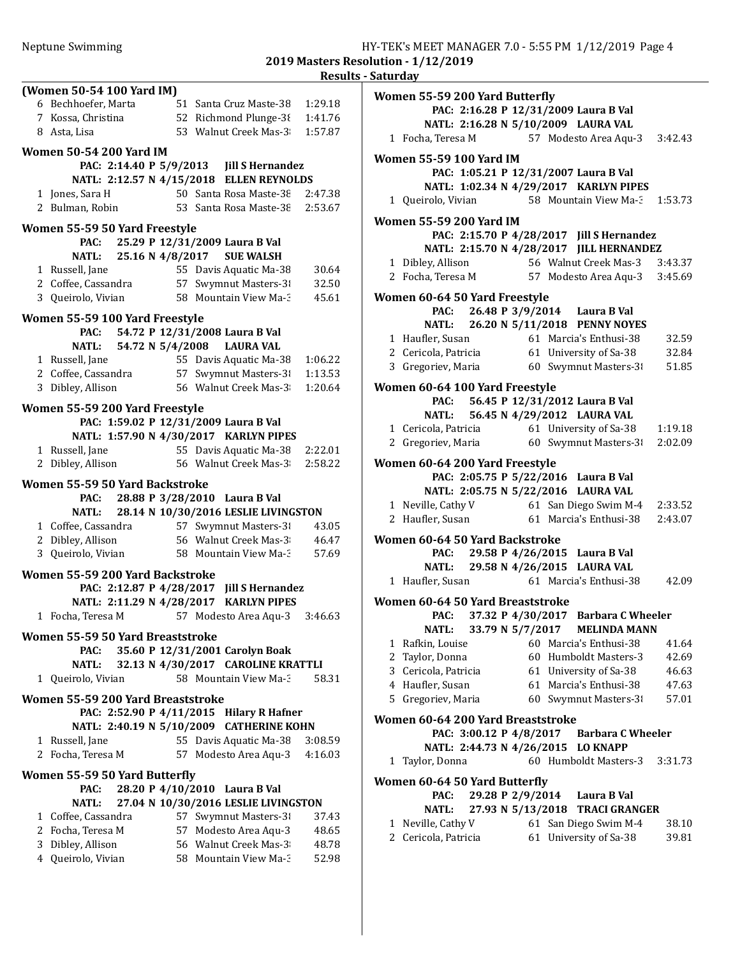| (Women 50-54 100 Yard IM)                 |                                                                                      |                |
|-------------------------------------------|--------------------------------------------------------------------------------------|----------------|
| 6 Bechhoefer, Marta                       | 51 Santa Cruz Maste-38                                                               | 1:29.18        |
| 7 Kossa, Christina                        | 52 Richmond Plunge-3{                                                                | 1:41.76        |
| 8 Asta, Lisa                              | 53 Walnut Creek Mas-3                                                                | 1:57.87        |
| <b>Women 50-54 200 Yard IM</b>            |                                                                                      |                |
|                                           | PAC: 2:14.40 P 5/9/2013 Jill S Hernandez                                             |                |
|                                           | NATL: 2:12.57 N 4/15/2018 ELLEN REYNOLDS                                             |                |
| 1 Jones, Sara H                           | 50 Santa Rosa Maste-38                                                               | 2:47.38        |
| 2 Bulman, Robin                           | 53 Santa Rosa Maste-38                                                               | 2:53.67        |
|                                           |                                                                                      |                |
| Women 55-59 50 Yard Freestyle             |                                                                                      |                |
| PAC:                                      | 25.29 P 12/31/2009 Laura B Val                                                       |                |
| 25.16 N 4/8/2017<br><b>NATL:</b>          | <b>SUE WALSH</b>                                                                     |                |
| 1 Russell, Jane                           | 55 Davis Aquatic Ma-38<br>57 Swymnut Masters-3                                       | 30.64          |
| 2 Coffee, Cassandra<br>3 Queirolo, Vivian | 58 Mountain View Ma-3                                                                | 32.50<br>45.61 |
|                                           |                                                                                      |                |
| Women 55-59 100 Yard Freestyle            |                                                                                      |                |
| PAC:                                      | 54.72 P 12/31/2008 Laura B Val                                                       |                |
| NATL: 54.72 N 5/4/2008                    | <b>LAURA VAL</b>                                                                     |                |
| 1 Russell, Jane                           | 55 Davis Aquatic Ma-38                                                               | 1:06.22        |
|                                           | 2 Coffee, Cassandra 57 Swymnut Masters-3                                             | 1:13.53        |
| 3 Dibley, Allison                         | 56 Walnut Creek Mas-3                                                                | 1:20.64        |
| Women 55-59 200 Yard Freestyle            |                                                                                      |                |
|                                           | PAC: 1:59.02 P 12/31/2009 Laura B Val                                                |                |
|                                           | NATL: 1:57.90 N 4/30/2017 KARLYN PIPES                                               |                |
| 1 Russell, Jane                           | 55 Davis Aquatic Ma-38                                                               | 2:22.01        |
| 2 Dibley, Allison                         | 56 Walnut Creek Mas-3                                                                | 2:58.22        |
|                                           |                                                                                      |                |
|                                           |                                                                                      |                |
| Women 55-59 50 Yard Backstroke            |                                                                                      |                |
|                                           | PAC: 28.88 P 3/28/2010 Laura B Val                                                   |                |
|                                           | NATL: 28.14 N 10/30/2016 LESLIE LIVINGSTON                                           |                |
| 1 Coffee, Cassandra                       | 57 Swymnut Masters-3                                                                 | 43.05          |
| 2 Dibley, Allison                         | 56 Walnut Creek Mas-3<br>58 Mountain View Ma-3                                       | 46.47<br>57.69 |
| 3 Queirolo, Vivian                        |                                                                                      |                |
| Women 55-59 200 Yard Backstroke           |                                                                                      |                |
|                                           | PAC: 2:12.87 P 4/28/2017 Jill S Hernandez                                            |                |
| NATL: 2:11.29 N 4/28/2017                 | <b>KARLYN PIPES</b>                                                                  |                |
| 1 Focha, Teresa M                         | 57 Modesto Area Aqu-3 3:46.63                                                        |                |
| Women 55-59 50 Yard Breaststroke          |                                                                                      |                |
| PAC:                                      | 35.60 P 12/31/2001 Carolyn Boak                                                      |                |
| <b>NATL:</b>                              | 32.13 N 4/30/2017 CAROLINE KRATTLI                                                   |                |
| 1 Queirolo, Vivian                        | 58 Mountain View Ma-3                                                                | 58.31          |
|                                           |                                                                                      |                |
| Women 55-59 200 Yard Breaststroke         |                                                                                      |                |
|                                           | PAC: 2:52.90 P 4/11/2015 Hilary R Hafner<br>NATL: 2:40.19 N 5/10/2009 CATHERINE KOHN |                |
| 1 Russell, Jane                           |                                                                                      | 3:08.59        |
| 2 Focha, Teresa M                         | 55 Davis Aquatic Ma-38<br>57 Modesto Area Aqu-3 4:16.03                              |                |
|                                           |                                                                                      |                |
| Women 55-59 50 Yard Butterfly             |                                                                                      |                |
| PAC:                                      | 28.20 P 4/10/2010 Laura B Val                                                        |                |
| <b>NATL:</b>                              | 27.04 N 10/30/2016 LESLIE LIVINGSTON                                                 |                |
| 1 Coffee, Cassandra                       | 57 Swymnut Masters-3                                                                 | 37.43          |
| 2 Focha, Teresa M                         | 57 Modesto Area Aqu-3                                                                | 48.65          |
| 3 Dibley, Allison<br>4 Queirolo, Vivian   | 56 Walnut Creek Mas-3<br>58 Mountain View Ma-3                                       | 48.78<br>52.98 |

| Women 55-59 200 Yard Butterfly         |  |                                                                                                     |         |
|----------------------------------------|--|-----------------------------------------------------------------------------------------------------|---------|
|                                        |  | PAC: 2:16.28 P 12/31/2009 Laura B Val                                                               |         |
|                                        |  | NATL: 2:16.28 N 5/10/2009 LAURA VAL                                                                 |         |
| 1 Focha, Teresa M                      |  | 57 Modesto Area Aqu-3 3:42.43                                                                       |         |
| <b>Women 55-59 100 Yard IM</b>         |  |                                                                                                     |         |
|                                        |  | PAC: 1:05.21 P 12/31/2007 Laura B Val                                                               |         |
|                                        |  | NATL: 1:02.34 N 4/29/2017 KARLYN PIPES                                                              |         |
|                                        |  | 1 Queirolo, Vivian 58 Mountain View Ma-3 1:53.73                                                    |         |
| <b>Women 55-59 200 Yard IM</b>         |  |                                                                                                     |         |
|                                        |  | PAC: 2:15.70 P 4/28/2017 Jill S Hernandez                                                           |         |
|                                        |  | NATL: 2:15.70 N 4/28/2017 JILL HERNANDEZ                                                            |         |
| 1 Dibley, Allison                      |  | 56 Walnut Creek Mas-3 3:43.37                                                                       |         |
|                                        |  | 2 Focha, Teresa M 57 Modesto Area Aqu-3 3:45.69                                                     |         |
| Women 60-64 50 Yard Freestyle          |  |                                                                                                     |         |
|                                        |  | PAC: 26.48 P 3/9/2014 Laura B Val                                                                   |         |
| NATL:                                  |  | 26.20 N 5/11/2018 PENNY NOYES                                                                       |         |
|                                        |  |                                                                                                     | 32.59   |
|                                        |  | 1 Haufler, Susan 61 Marcia's Enthusi-38<br>2 Cericola, Patricia 61 University of Sa-38              | 32.84   |
|                                        |  | 3 Gregoriev, Maria 60 Swymnut Masters-31                                                            | 51.85   |
|                                        |  |                                                                                                     |         |
| Women 60-64 100 Yard Freestyle         |  | PAC: 56.45 P 12/31/2012 Laura B Val                                                                 |         |
|                                        |  | NATL: 56.45 N 4/29/2012 LAURA VAL                                                                   |         |
|                                        |  | 1 Cericola, Patricia 61 University of Sa-38                                                         | 1:19.18 |
|                                        |  | 2 Gregoriev, Maria 60 Swymnut Masters-31                                                            | 2:02.09 |
|                                        |  |                                                                                                     |         |
| Women 60-64 200 Yard Freestyle         |  |                                                                                                     |         |
|                                        |  | PAC: 2:05.75 P 5/22/2016 Laura B Val<br>NATL: 2:05.75 N 5/22/2016 LAURA VAL                         |         |
|                                        |  |                                                                                                     |         |
|                                        |  | 1 Neville, Cathy V 61 San Diego Swim M-4 2:33.52<br>2 Haufler, Susan 61 Marcia's Enthusi-38 2:43.07 |         |
|                                        |  |                                                                                                     |         |
| Women 60-64 50 Yard Backstroke         |  |                                                                                                     |         |
|                                        |  | PAC: 29.58 P 4/26/2015 Laura B Val<br>NATL: 29.58 N 4/26/2015 LAURA VAL                             |         |
| 1 Haufler, Susan                       |  | 61 Marcia's Enthusi-38 42.09                                                                        |         |
|                                        |  |                                                                                                     |         |
| Women 60-64 50 Yard Breaststroke       |  |                                                                                                     |         |
|                                        |  | PAC: 37.32 P 4/30/2017 Barbara C Wheeler                                                            |         |
|                                        |  | NATL: 33.79 N 5/7/2017 MELINDA MANN                                                                 |         |
| 1 Rafkin, Louise                       |  | 60 Marcia's Enthusi-38                                                                              | 41.64   |
| 2 Taylor, Donna                        |  | 60 Humboldt Masters-3                                                                               | 42.69   |
| 3 Cericola, Patricia                   |  | 61 University of Sa-38                                                                              | 46.63   |
| 4 Haufler, Susan<br>5 Gregoriev, Maria |  | 61 Marcia's Enthusi-38<br>60 Swymnut Masters-31                                                     | 47.63   |
|                                        |  |                                                                                                     | 57.01   |
| Women 60-64 200 Yard Breaststroke      |  |                                                                                                     |         |
|                                        |  | PAC: 3:00.12 P 4/8/2017 Barbara C Wheeler                                                           |         |
|                                        |  | NATL: 2:44.73 N 4/26/2015 LO KNAPP                                                                  |         |
| 1 Taylor, Donna                        |  | 60 Humboldt Masters-3                                                                               | 3:31.73 |
| Women 60-64 50 Yard Butterfly          |  |                                                                                                     |         |
| PAC:                                   |  | 29.28 P 2/9/2014 Laura B Val                                                                        |         |
| NATL:                                  |  | 27.93 N 5/13/2018 TRACI GRANGER                                                                     |         |
| 1 Neville, Cathy V                     |  | 61 San Diego Swim M-4                                                                               | 38.10   |
| 2 Cericola, Patricia                   |  | 61 University of Sa-38                                                                              | 39.81   |
|                                        |  |                                                                                                     |         |
|                                        |  |                                                                                                     |         |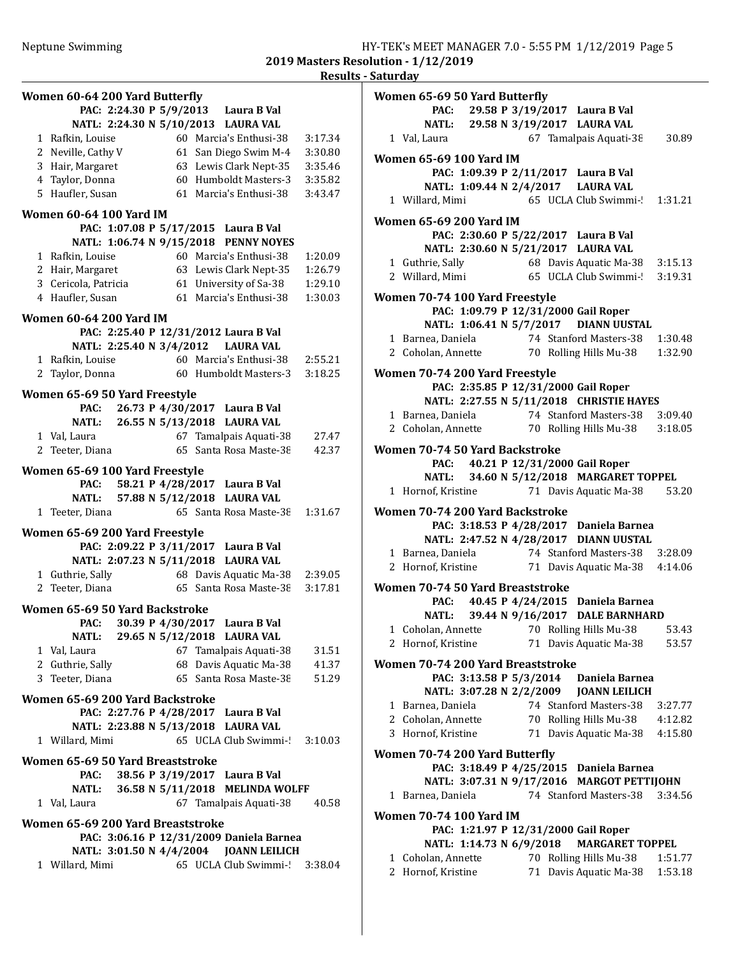| Women 60-64 200 Yard Butterfly         |                                                               |
|----------------------------------------|---------------------------------------------------------------|
| PAC: 2:24.30 P 5/9/2013                | Laura B Val                                                   |
|                                        | NATL: 2:24.30 N 5/10/2013 LAURA VAL<br>60 Marcia's Enthusi-38 |
| 1 Rafkin, Louise<br>2 Neville, Cathy V | 3:17.34<br>61 San Diego Swim M-4<br>3:30.80                   |
| 3 Hair, Margaret                       | 63 Lewis Clark Nept-35<br>3:35.46                             |
| 4 Taylor, Donna                        | 60 Humboldt Masters-3<br>3:35.82                              |
| 5 Haufler, Susan                       | 61 Marcia's Enthusi-38<br>3:43.47                             |
|                                        |                                                               |
| <b>Women 60-64 100 Yard IM</b>         | PAC: 1:07.08 P 5/17/2015 Laura B Val                          |
|                                        | NATL: 1:06.74 N 9/15/2018 PENNY NOYES                         |
| 1 Rafkin, Louise                       | 60 Marcia's Enthusi-38<br>1:20.09                             |
| 2 Hair, Margaret                       | 63 Lewis Clark Nept-35<br>1:26.79                             |
| 3 Cericola, Patricia                   | 61 University of Sa-38<br>1:29.10                             |
| 4 Haufler, Susan                       | 61 Marcia's Enthusi-38<br>1:30.03                             |
| <b>Women 60-64 200 Yard IM</b>         |                                                               |
|                                        | PAC: 2:25.40 P 12/31/2012 Laura B Val                         |
|                                        | NATL: 2:25.40 N 3/4/2012 LAURA VAL                            |
| 1 Rafkin, Louise                       | 60 Marcia's Enthusi-38<br>2:55.21                             |
| 2 Taylor, Donna                        | 3:18.25<br>60 Humboldt Masters-3                              |
| Women 65-69 50 Yard Freestyle          |                                                               |
| PAC:                                   | 26.73 P 4/30/2017 Laura B Val                                 |
| 26.55 N 5/13/2018<br>NATL:             | <b>LAURA VAL</b>                                              |
| 1 Val, Laura                           | 67 Tamalpais Aquati-38<br>27.47                               |
| 2 Teeter, Diana                        | 65 Santa Rosa Maste-38<br>42.37                               |
| Women 65-69 100 Yard Freestyle         |                                                               |
| PAC:                                   | 58.21 P 4/28/2017 Laura B Val                                 |
| NATL:                                  | 57.88 N 5/12/2018 LAURA VAL                                   |
| 1 Teeter, Diana                        | 65 Santa Rosa Maste-38<br>1:31.67                             |
| Women 65-69 200 Yard Freestyle         |                                                               |
| PAC: 2:09.22 P 3/11/2017               | Laura B Val                                                   |
| NATL: 2:07.23 N 5/11/2018              | <b>LAURA VAL</b>                                              |
| 1 Guthrie, Sally                       | 68 Davis Aquatic Ma-38<br>2:39.05                             |
| 2 Teeter, Diana                        | 65 Santa Rosa Maste-38<br>3:17.81                             |
| Women 65-69 50 Yard Backstroke         |                                                               |
| 30.39 P 4/30/2017<br>PAC:              | Laura B Val                                                   |
| <b>NATL:</b>                           | 29.65 N 5/12/2018 LAURA VAL                                   |
| 1 Val, Laura                           | 67 Tamalpais Aquati-38<br>31.51                               |
| 2 Guthrie, Sally                       | 68 Davis Aquatic Ma-38<br>41.37                               |
| 3 Teeter, Diana                        | 65 Santa Rosa Maste-38<br>51.29                               |
| Women 65-69 200 Yard Backstroke        |                                                               |
|                                        | PAC: 2:27.76 P 4/28/2017 Laura B Val                          |
|                                        | NATL: 2:23.88 N 5/13/2018 LAURA VAL                           |
| 1 Willard, Mimi                        | 65 UCLA Club Swimmi-!<br>3:10.03                              |
| Women 65-69 50 Yard Breaststroke       |                                                               |
| PAC:                                   | 38.56 P 3/19/2017 Laura B Val                                 |
| <b>NATL:</b>                           | 36.58 N 5/11/2018 MELINDA WOLFF                               |
| 1 Val, Laura                           | 67 Tamalpais Aquati-38<br>40.58                               |
| Women 65-69 200 Yard Breaststroke      |                                                               |
|                                        | PAC: 3:06.16 P 12/31/2009 Daniela Barnea                      |
|                                        | NATL: 3:01.50 N 4/4/2004 JOANN LEILICH                        |
| 1 Willard, Mimi                        | 65 UCLA Club Swimmi-<br>3:38.04                               |
|                                        |                                                               |

|   | Women 65-69 50 Yard Butterfly         |                          |  |                                                                                                        |         |
|---|---------------------------------------|--------------------------|--|--------------------------------------------------------------------------------------------------------|---------|
|   |                                       |                          |  | PAC: 29.58 P 3/19/2017 Laura B Val                                                                     |         |
|   |                                       |                          |  | NATL: 29.58 N 3/19/2017 LAURA VAL                                                                      |         |
|   | 1 Val, Laura                          |                          |  | 67 Tamalpais Aquati-38                                                                                 | 30.89   |
|   | Women 65-69 100 Yard IM               |                          |  |                                                                                                        |         |
|   |                                       |                          |  | PAC: 1:09.39 P 2/11/2017 Laura B Val                                                                   |         |
|   |                                       |                          |  | NATL: 1:09.44 N 2/4/2017 LAURA VAL                                                                     |         |
|   | 1 Willard, Mimi                       |                          |  | 65 UCLA Club Swimmi-! 1:31.21                                                                          |         |
|   | Women 65-69 200 Yard IM               |                          |  |                                                                                                        |         |
|   |                                       |                          |  | PAC: 2:30.60 P 5/22/2017 Laura B Val                                                                   |         |
|   |                                       |                          |  | NATL: 2:30.60 N 5/21/2017 LAURA VAL                                                                    |         |
|   |                                       |                          |  |                                                                                                        |         |
|   | 2 Willard, Mimi                       |                          |  | 1 Guthrie, Sally 68 Davis Aquatic Ma-38 3:15.13<br>65 UCLA Club Swimmi-! 3:19.31                       |         |
|   |                                       |                          |  |                                                                                                        |         |
|   | Women 70-74 100 Yard Freestyle        |                          |  | PAC: 1:09.79 P 12/31/2000 Gail Roper                                                                   |         |
|   |                                       |                          |  | NATL: 1:06.41 N 5/7/2017 DIANN UUSTAL                                                                  |         |
|   |                                       |                          |  |                                                                                                        |         |
|   |                                       |                          |  | 1 Barnea, Daniela 174 Stanford Masters-38                                                              | 1:30.48 |
|   |                                       |                          |  | 2 Coholan, Annette 70 Rolling Hills Mu-38                                                              | 1:32.90 |
|   | Women 70-74 200 Yard Freestyle        |                          |  |                                                                                                        |         |
|   |                                       |                          |  | PAC: 2:35.85 P 12/31/2000 Gail Roper                                                                   |         |
|   |                                       |                          |  | NATL: 2:27.55 N 5/11/2018 CHRISTIE HAYES                                                               |         |
|   |                                       |                          |  |                                                                                                        |         |
|   |                                       |                          |  | 1 Barnea, Daniela 14 Stanford Masters-38 3:09.40<br>2 Coholan, Annette 170 Rolling Hills Mu-38 3:18.05 |         |
|   | Women 70-74 50 Yard Backstroke        |                          |  |                                                                                                        |         |
|   |                                       |                          |  | PAC: 40.21 P 12/31/2000 Gail Roper                                                                     |         |
|   |                                       |                          |  | NATL: 34.60 N 5/12/2018 MARGARET TOPPEL                                                                |         |
|   |                                       |                          |  | 1 Hornof, Kristine 71 Davis Aquatic Ma-38                                                              | 53.20   |
|   |                                       |                          |  |                                                                                                        |         |
|   | Women 70-74 200 Yard Backstroke       |                          |  |                                                                                                        |         |
|   |                                       |                          |  | PAC: 3:18.53 P 4/28/2017 Daniela Barnea                                                                |         |
|   |                                       |                          |  | NATL: 2:47.52 N 4/28/2017 DIANN UUSTAL                                                                 |         |
|   |                                       |                          |  |                                                                                                        |         |
|   |                                       |                          |  |                                                                                                        |         |
|   | Women 70-74 50 Yard Breaststroke      |                          |  |                                                                                                        |         |
|   |                                       |                          |  | PAC: 40.45 P 4/24/2015 Daniela Barnea                                                                  |         |
|   |                                       |                          |  | NATL: 39.44 N 9/16/2017 DALE BARNHARD                                                                  |         |
|   | 1 Coholan, Annette                    |                          |  | 70 Rolling Hills Mu-38                                                                                 | 53.43   |
| 2 | Hornof, Kristine                      |                          |  | 71 Davis Aquatic Ma-38                                                                                 | 53.57   |
|   |                                       |                          |  |                                                                                                        |         |
|   | Women 70-74 200 Yard Breaststroke     | PAC: 3:13.58 P 5/3/2014  |  | Daniela Barnea                                                                                         |         |
|   |                                       | NATL: 3:07.28 N 2/2/2009 |  | <b>JOANN LEILICH</b>                                                                                   |         |
|   | 1 Barnea, Daniela                     |                          |  | 74 Stanford Masters-38                                                                                 | 3:27.77 |
|   | 2 Coholan, Annette                    |                          |  | 70 Rolling Hills Mu-38                                                                                 | 4:12.82 |
|   | 3 Hornof, Kristine                    |                          |  | 71 Davis Aquatic Ma-38                                                                                 | 4:15.80 |
|   |                                       |                          |  |                                                                                                        |         |
|   | <b>Women 70-74 200 Yard Butterfly</b> |                          |  |                                                                                                        |         |
|   |                                       |                          |  | PAC: 3:18.49 P 4/25/2015 Daniela Barnea                                                                |         |
|   |                                       |                          |  | NATL: 3:07.31 N 9/17/2016 MARGOT PETTIJOHN                                                             |         |
|   | 1 Barnea, Daniela                     |                          |  | 74 Stanford Masters-38                                                                                 | 3:34.56 |
|   | Women 70-74 100 Yard IM               |                          |  |                                                                                                        |         |
|   |                                       |                          |  | PAC: 1:21.97 P 12/31/2000 Gail Roper                                                                   |         |
|   |                                       | NATL: 1:14.73 N 6/9/2018 |  | <b>MARGARET TOPPEL</b>                                                                                 |         |
|   |                                       |                          |  |                                                                                                        |         |
|   | 1 Coholan, Annette                    |                          |  | 70 Rolling Hills Mu-38                                                                                 | 1:51.77 |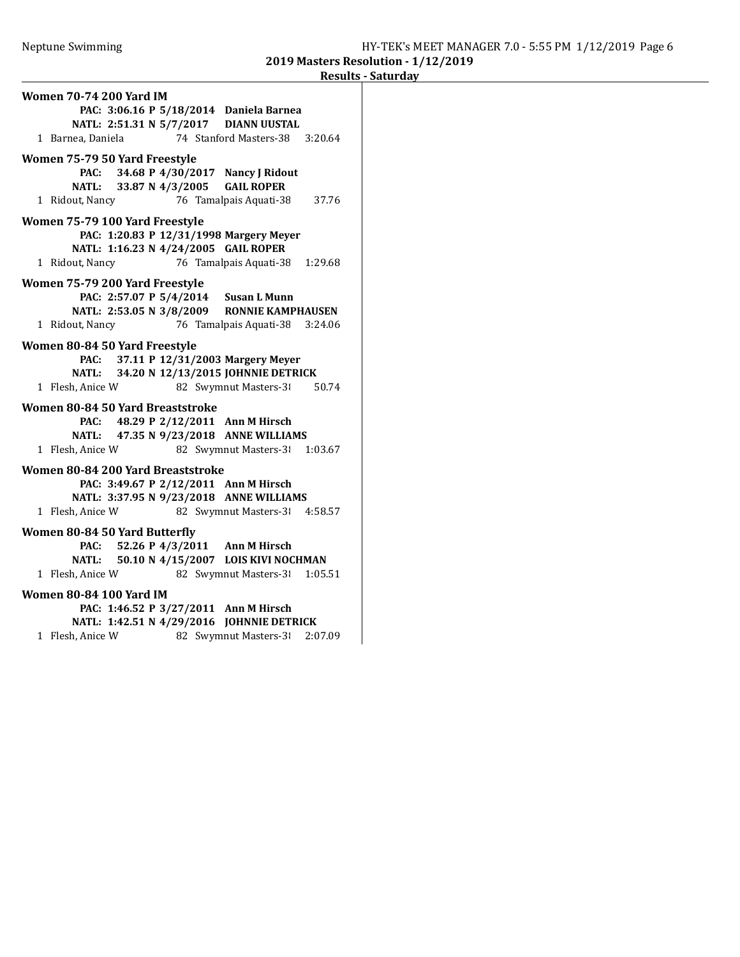| <b>Women 70-74 200 Yard IM</b>                 |                                |
|------------------------------------------------|--------------------------------|
| PAC: 3:06.16 P 5/18/2014 Daniela Barnea        |                                |
| NATL: 2:51.31 N 5/7/2017 DIANN UUSTAL          |                                |
| 1 Barnea, Daniela                              | 74 Stanford Masters-38 3:20.64 |
| Women 75-79 50 Yard Freestyle                  |                                |
| PAC: 34.68 P 4/30/2017 Nancy J Ridout          |                                |
| NATL: 33.87 N 4/3/2005 GAIL ROPER              |                                |
| 1 Ridout, Nancy                                | 76 Tamalpais Aquati-38 37.76   |
| Women 75-79 100 Yard Freestyle                 |                                |
| PAC: 1:20.83 P 12/31/1998 Margery Meyer        |                                |
| NATL: 1:16.23 N 4/24/2005 GAIL ROPER           |                                |
| 1 Ridout, Nancy                                | 76 Tamalpais Aquati-38 1:29.68 |
| Women 75-79 200 Yard Freestyle                 |                                |
| PAC: 2:57.07 P 5/4/2014 Susan L Munn           |                                |
| NATL: 2:53.05 N 3/8/2009 RONNIE KAMPHAUSEN     |                                |
| 1 Ridout, Nancy 76 Tamalpais Aquati-38 3:24.06 |                                |
| Women 80-84 50 Yard Freestyle                  |                                |
| PAC: 37.11 P 12/31/2003 Margery Meyer          |                                |
| NATL: 34.20 N 12/13/2015 JOHNNIE DETRICK       |                                |
| 1 Flesh, Anice W                               | 82 Swymnut Masters-3<br>50.74  |
| Women 80-84 50 Yard Breaststroke               |                                |
| PAC: 48.29 P 2/12/2011 Ann M Hirsch            |                                |
| NATL: 47.35 N 9/23/2018 ANNE WILLIAMS          |                                |
| 1 Flesh, Anice W                               | 82 Swymnut Masters-3 1:03.67   |
| Women 80-84 200 Yard Breaststroke              |                                |
| PAC: 3:49.67 P 2/12/2011 Ann M Hirsch          |                                |
| NATL: 3:37.95 N 9/23/2018 ANNE WILLIAMS        |                                |
| 1 Flesh, Anice W                               | 82 Swymnut Masters-31 4:58.57  |
| Women 80-84 50 Yard Butterfly                  |                                |
| PAC: 52.26 P 4/3/2011 Ann M Hirsch             |                                |
| NATL: 50.10 N 4/15/2007 LOIS KIVI NOCHMAN      |                                |
| 1 Flesh, Anice W 82 Swymnut Masters-31 1:05.51 |                                |
| <b>Women 80-84 100 Yard IM</b>                 |                                |
| PAC: 1:46.52 P 3/27/2011 Ann M Hirsch          |                                |
| NATL: 1:42.51 N 4/29/2016 JOHNNIE DETRICK      |                                |
| 1 Flesh, Anice W                               | 82 Swymnut Masters-3 2:07.09   |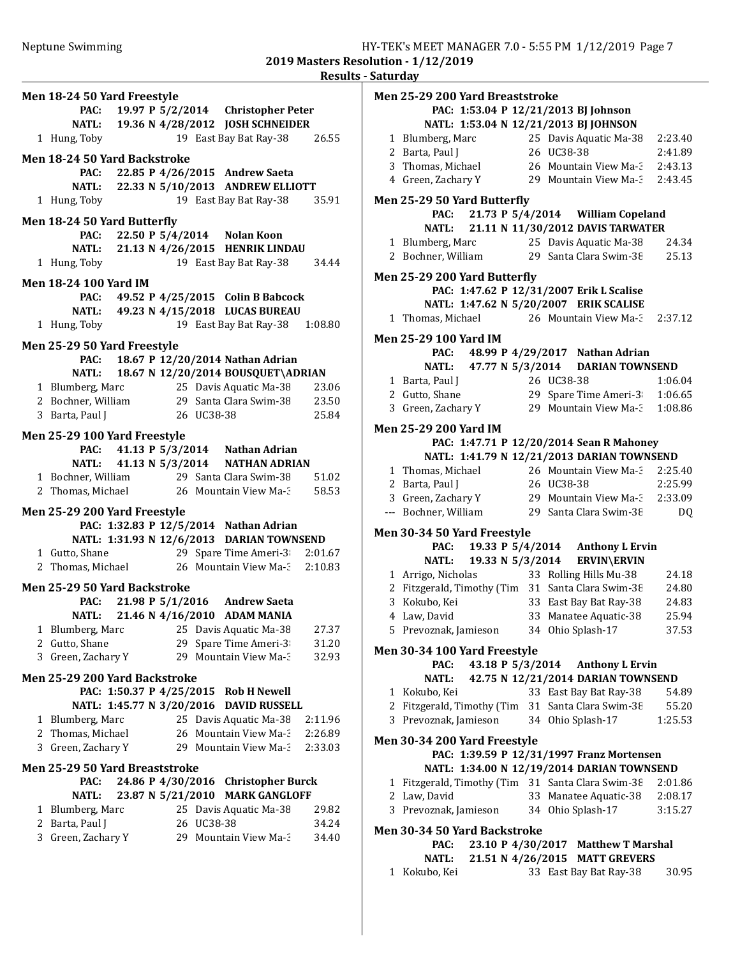2019 Masters Resolution - 1/12/2019 Results - Saturday

|   | Men 18-24 50 Yard Freestyle    |                   |            |                                                                                     |         |
|---|--------------------------------|-------------------|------------|-------------------------------------------------------------------------------------|---------|
|   |                                |                   |            | PAC: 19.97 P 5/2/2014 Christopher Peter                                             |         |
|   |                                |                   |            | NATL: 19.36 N 4/28/2012 JOSH SCHNEIDER                                              |         |
|   | 1 Hung, Toby                   |                   |            | 19 East Bay Bat Ray-38                                                              | 26.55   |
|   | Men 18-24 50 Yard Backstroke   |                   |            |                                                                                     |         |
|   |                                |                   |            | PAC: 22.85 P 4/26/2015 Andrew Saeta                                                 |         |
|   |                                |                   |            | NATL: 22.33 N 5/10/2013 ANDREW ELLIOTT                                              |         |
|   | 1 Hung, Toby                   |                   |            | 19 East Bay Bat Ray-38 35.91                                                        |         |
|   | Men 18-24 50 Yard Butterfly    |                   |            |                                                                                     |         |
|   |                                |                   |            | PAC: 22.50 P 5/4/2014 Nolan Koon                                                    |         |
|   |                                |                   |            | NATL: 21.13 N 4/26/2015 HENRIK LINDAU                                               |         |
|   | 1 Hung, Toby                   |                   |            | 19 East Bay Bat Ray-38 34.44                                                        |         |
|   | <b>Men 18-24 100 Yard IM</b>   |                   |            |                                                                                     |         |
|   |                                |                   |            | PAC: 49.52 P 4/25/2015 Colin B Babcock                                              |         |
|   |                                |                   |            | NATL: 49.23 N 4/15/2018 LUCAS BUREAU                                                |         |
|   | 1 Hung, Toby                   |                   |            | 19 East Bay Bat Ray-38   1:08.80                                                    |         |
|   | Men 25-29 50 Yard Freestyle    |                   |            |                                                                                     |         |
|   |                                |                   |            | PAC: 18.67 P 12/20/2014 Nathan Adrian                                               |         |
|   |                                |                   |            | NATL: 18.67 N 12/20/2014 BOUSQUET\ADRIAN                                            |         |
|   | 1 Blumberg, Marc               |                   |            | 25 Davis Aquatic Ma-38 23.06                                                        |         |
|   |                                |                   |            | 2 Bochner, William 29 Santa Clara Swim-38 23.50                                     |         |
|   | 3 Barta, Paul J                | 26 UC38-38        |            |                                                                                     | 25.84   |
|   | Men 25-29 100 Yard Freestyle   |                   |            |                                                                                     |         |
|   |                                |                   |            | PAC: 41.13 P 5/3/2014 Nathan Adrian                                                 |         |
|   |                                |                   |            | NATL: 41.13 N 5/3/2014 NATHAN ADRIAN                                                |         |
|   |                                |                   |            | 1 Bochner, William 29 Santa Clara Swim-38 51.02                                     |         |
|   |                                |                   |            | 2 Thomas, Michael 26 Mountain View Ma-3 58.53                                       |         |
|   | Men 25-29 200 Yard Freestyle   |                   |            |                                                                                     |         |
|   |                                |                   |            | PAC: 1:32.83 P 12/5/2014 Nathan Adrian<br>NATL: 1:31.93 N 12/6/2013 DARIAN TOWNSEND |         |
|   | 1 Gutto, Shane                 |                   |            | 29 Spare Time Ameri-3 2:01.67                                                       |         |
|   |                                |                   |            | 2 Thomas, Michael 26 Mountain View Ma-3 2:10.83                                     |         |
|   |                                |                   |            |                                                                                     |         |
|   | Men 25-29 50 Yard Backstroke   |                   |            | PAC: 21.98 P 5/1/2016 Andrew Saeta                                                  |         |
|   |                                |                   |            | NATL: 21.46 N 4/16/2010 ADAM MANIA                                                  |         |
|   | 1 Blumberg, Marc               |                   |            | 25 Davis Aquatic Ma-38                                                              | 27.37   |
|   | 2 Gutto, Shane                 |                   |            | 29 Spare Time Ameri-3                                                               | 31.20   |
| 3 | Green, Zachary Y               |                   |            | 29 Mountain View Ma-3                                                               | 32.93   |
|   | Men 25-29 200 Yard Backstroke  |                   |            |                                                                                     |         |
|   |                                |                   |            | PAC: 1:50.37 P 4/25/2015 Rob H Newell                                               |         |
|   |                                |                   |            | NATL: 1:45.77 N 3/20/2016 DAVID RUSSELL                                             |         |
|   | 1 Blumberg, Marc               |                   |            | 25 Davis Aquatic Ma-38                                                              | 2:11.96 |
|   | 2 Thomas, Michael              |                   |            | 26 Mountain View Ma-3                                                               | 2:26.89 |
|   | 3 Green, Zachary Y             |                   |            | 29 Mountain View Ma-3                                                               | 2:33.03 |
|   | Men 25-29 50 Yard Breaststroke |                   |            |                                                                                     |         |
|   | PAC:                           |                   |            | 24.86 P 4/30/2016 Christopher Burck                                                 |         |
|   | NATL:                          | 23.87 N 5/21/2010 |            | <b>MARK GANGLOFF</b>                                                                |         |
| 1 | Blumberg, Marc                 |                   |            | 25 Davis Aquatic Ma-38                                                              | 29.82   |
|   | 2 Barta, Paul J                |                   | 26 UC38-38 |                                                                                     | 34.24   |
|   | 3 Green, Zachary Y             |                   |            | 29 Mountain View Ma-3                                                               | 34.40   |
|   |                                |                   |            |                                                                                     |         |
|   |                                |                   |            |                                                                                     |         |

| Men 25-29 200 Yard Breaststroke                   |                                                 |         |
|---------------------------------------------------|-------------------------------------------------|---------|
| PAC: 1:53.04 P 12/21/2013 BJ Johnson              |                                                 |         |
| NATL: 1:53.04 N 12/21/2013 BJ JOHNSON             |                                                 |         |
| 1 Blumberg, Marc                                  | 25 Davis Aquatic Ma-38                          | 2:23.40 |
| 2 Barta, Paul J                                   | 26 UC38-38                                      | 2:41.89 |
| 3 Thomas, Michael                                 | 26 Mountain View Ma-3                           | 2:43.13 |
| 4 Green, Zachary Y                                | 29 Mountain View Ma-3                           | 2:43.45 |
| Men 25-29 50 Yard Butterfly                       |                                                 |         |
|                                                   | PAC: 21.73 P 5/4/2014 William Copeland          |         |
| <b>NATL:</b>                                      | 21.11 N 11/30/2012 DAVIS TARWATER               |         |
| 1 Blumberg, Marc                                  | 25 Davis Aquatic Ma-38                          | 24.34   |
| 2 Bochner, William 29 Santa Clara Swim-38         |                                                 | 25.13   |
| Men 25-29 200 Yard Butterfly                      |                                                 |         |
|                                                   | PAC: 1:47.62 P 12/31/2007 Erik L Scalise        |         |
| NATL: 1:47.62 N 5/20/2007 ERIK SCALISE            |                                                 |         |
| 1 Thomas, Michael                                 | 26 Mountain View Ma-3                           | 2:37.12 |
| Men 25-29 100 Yard IM                             |                                                 |         |
|                                                   | PAC: 48.99 P 4/29/2017 Nathan Adrian            |         |
|                                                   | NATL: 47.77 N 5/3/2014 DARIAN TOWNSEND          |         |
| 1 Barta, Paul J                                   | 26 UC38-38                                      | 1:06.04 |
| 2 Gutto, Shane                                    | 29 Spare Time Ameri-3                           | 1:06.65 |
| 3 Green, Zachary Y                                | 29 Mountain View Ma-3                           | 1:08.86 |
|                                                   |                                                 |         |
| <b>Men 25-29 200 Yard IM</b>                      |                                                 |         |
|                                                   | PAC: 1:47.71 P 12/20/2014 Sean R Mahoney        |         |
|                                                   | NATL: 1:41.79 N 12/21/2013 DARIAN TOWNSEND      |         |
| 1 Thomas, Michael                                 | 26 Mountain View Ma-3                           | 2:25.40 |
| 2 Barta, Paul J                                   | 26 UC38-38                                      | 2:25.99 |
| 3 Green, Zachary Y<br>--- Bochner, William        | 29 Mountain View Ma-3<br>29 Santa Clara Swim-38 | 2:33.09 |
|                                                   |                                                 | DQ      |
| Men 30-34 50 Yard Freestyle                       |                                                 |         |
|                                                   | PAC: 19.33 P 5/4/2014 Anthony L Ervin           |         |
| <b>NATL:</b>                                      | 19.33 N 5/3/2014 ERVIN\ERVIN                    |         |
| 1 Arrigo, Nicholas                                | 33 Rolling Hills Mu-38                          | 24.18   |
| 2 Fitzgerald, Timothy (Tim 31 Santa Clara Swim-38 |                                                 | 24.80   |
| 3 Kokubo, Kei                                     | 33 East Bay Bat Ray-38                          | 24.83   |
| 4 Law, David                                      | 33 Manatee Aquatic-38                           | 25.94   |
| 5 Prevoznak, Jamieson 34 Ohio Splash-17           |                                                 | 37.53   |
| Men 30-34 100 Yard Freestyle                      |                                                 |         |
| PAC:                                              | 43.18 P 5/3/2014 Anthony L Ervin                |         |
| <b>NATL:</b>                                      | 42.75 N 12/21/2014 DARIAN TOWNSEND              |         |
| 1 Kokubo, Kei                                     | 33 East Bay Bat Ray-38                          | 54.89   |
| 2 Fitzgerald, Timothy (Tim 31 Santa Clara Swim-38 |                                                 | 55.20   |
| 3 Prevoznak, Jamieson                             | 34 Ohio Splash-17                               | 1:25.53 |
| Men 30-34 200 Yard Freestyle                      |                                                 |         |
|                                                   | PAC: 1:39.59 P 12/31/1997 Franz Mortensen       |         |
|                                                   | NATL: 1:34.00 N 12/19/2014 DARIAN TOWNSEND      |         |
| 1 Fitzgerald, Timothy (Tim 31 Santa Clara Swim-38 |                                                 | 2:01.86 |
| 2 Law, David                                      | 33 Manatee Aquatic-38                           | 2:08.17 |
| 3 Prevoznak, Jamieson                             | 34 Ohio Splash-17                               | 3:15.27 |
| Men 30-34 50 Yard Backstroke                      |                                                 |         |
| PAC:                                              | 23.10 P 4/30/2017 Matthew T Marshal             |         |
| <b>NATL:</b>                                      | 21.51 N 4/26/2015 MATT GREVERS                  |         |
| 1 Kokubo, Kei                                     | 33 East Bay Bat Ray-38                          | 30.95   |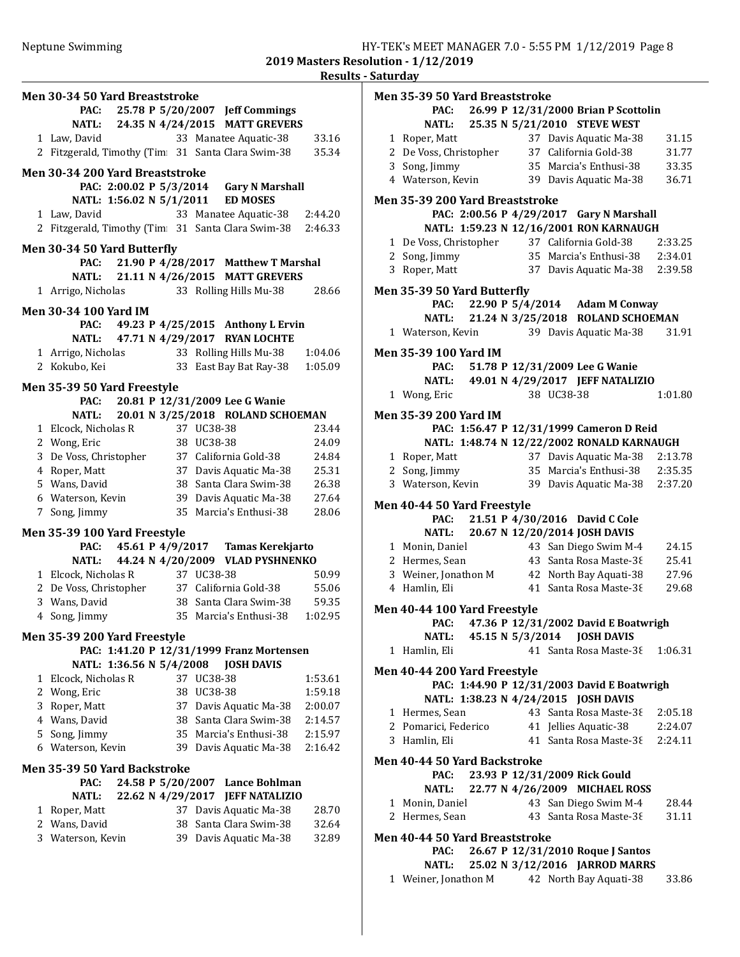Results - Saturday Men 30-34 50 Yard Breaststroke PAC: 25.78 P 5/20/2007 Jeff Commings NATL: 24.35 N 4/24/2015 MATT GREVERS 1 33.16 Law, David 33 Manatee Aquatic-38 2 Fitzgerald, Timothy (Tim 31 Santa Clara Swim-38 35.34 Men 30-34 200 Yard Breaststroke PAC: 2:00.02 P 5/3/2014 Gary N Marshall NATL: 1:56.02 N 5/1/2011 ED MOSES 1 2:44.20 Law, David 33 Manatee Aquatic-38 2 Fitzgerald, Timothy (Tim  $31$  Santa Clara Swim-38 2:46.33 Men 30-34 50 Yard Butterfly PAC: 21.90 P 4/28/2017 Matthew T Marshal NATL: 21.11 N 4/26/2015 MATT GREVERS 1 Arrigo, Nicholas 33 Rolling Hills Mu-38 28.66 Men 30-34 100 Yard IM PAC: 49.23 P 4/25/2015 Anthony L Ervin NATL: 47.71 N 4/29/2017 RYAN LOCHTE 1 Arrigo, Nicholas 33 Rolling Hills Mu-38 1:04.06 2 Kokubo, Kei 33 East Bay Bat Ray-38 1:05.09 Men 35-39 50 Yard Freestyle PAC: 20.81 P 12/31/2009 Lee G Wanie NATL: 20.01 N 3/25/2018 ROLAND SCHOEMAN 1 23.44 Elcock, Nicholas R 37 UC38-38 2 24.09 Wong, Eric 38 UC38-38 3 24.84 De Voss, Christopher 37 California Gold-38 4 25.31 Roper, Matt 37 Davis Aquatic Ma-38 5 26.38 Wans, David 38 Santa Clara Swim-38 6 27.64 Waterson, Kevin 39 Davis Aquatic Ma-38 7 Song, Jimmy 35 Marcia's Enthusi-38 28.06 Men 35-39 100 Yard Freestyle PAC: 45.61 P 4/9/2017 Tamas Kerekjarto NATL: 44.24 N 4/20/2009 VLAD PYSHNENKO 1 50.99 Elcock, Nicholas R 37 UC38-38 2 55.06 De Voss, Christopher 37 California Gold-38 3 59.35 Wans, David 38 Santa Clara Swim-38 4 Song, Jimmy 35 Marcia's Enthusi-38 1:02.95 Men 35-39 200 Yard Freestyle PAC: 1:41.20 P 12/31/1999 Franz Mortensen NATL: 1:36.56 N 5/4/2008 JOSH DAVIS 1 Elcock, Nicholas R 37 UC38-38 1:53.61 2 Wong, Eric 38 UC38-38 1:59.18 3 2:00.07 Roper, Matt 37 Davis Aquatic Ma-38 4 2:14.57 Wans, David 38 Santa Clara Swim-38 5 2:15.97 Song, Jimmy 35 Marcia's Enthusi-38 6 2:16.42 Waterson, Kevin 39 Davis Aquatic Ma-38 Men 35-39 50 Yard Backstroke PAC: 24.58 P 5/20/2007 Lance Bohlman NATL: 22.62 N 4/29/2017 JEFF NATALIZIO 1 Roper, Matt 37 Davis Aquatic Ma-38 28.70 2 Wans, David 38 Santa Clara Swim-38 32.64 3 32.89 Waterson, Kevin 39 Davis Aquatic Ma-38

| Men 35-39 50 Yard Breaststroke         |  |            |                                                                                        |         |
|----------------------------------------|--|------------|----------------------------------------------------------------------------------------|---------|
| PAC:                                   |  |            | 26.99 P 12/31/2000 Brian P Scottolin                                                   |         |
| <b>NATL:</b>                           |  |            | 25.35 N 5/21/2010 STEVE WEST                                                           |         |
| 1 Roper, Matt                          |  |            | 37 Davis Aquatic Ma-38                                                                 | 31.15   |
| 2 De Voss, Christopher                 |  |            | 37 California Gold-38                                                                  | 31.77   |
| 3 Song, Jimmy                          |  |            | 35 Marcia's Enthusi-38                                                                 | 33.35   |
| 4 Waterson, Kevin                      |  |            | 39 Davis Aquatic Ma-38                                                                 | 36.71   |
| <b>Men 35-39 200 Yard Breaststroke</b> |  |            |                                                                                        |         |
|                                        |  |            | PAC: 2:00.56 P 4/29/2017 Gary N Marshall                                               |         |
|                                        |  |            | NATL: 1:59.23 N 12/16/2001 RON KARNAUGH                                                |         |
| 1 De Voss, Christopher                 |  |            | 37 California Gold-38                                                                  | 2:33.25 |
| 2 Song, Jimmy                          |  |            | 35 Marcia's Enthusi-38                                                                 | 2:34.01 |
| 3 Roper, Matt                          |  |            | 37 Davis Aquatic Ma-38 2:39.58                                                         |         |
|                                        |  |            |                                                                                        |         |
| Men 35-39 50 Yard Butterfly            |  |            |                                                                                        |         |
|                                        |  |            | PAC: 22.90 P 5/4/2014 Adam M Conway                                                    |         |
| NATL:                                  |  |            | 21.24 N 3/25/2018 ROLAND SCHOEMAN                                                      |         |
| 1 Waterson, Kevin                      |  |            | 39 Davis Aquatic Ma-38                                                                 | 31.91   |
| Men 35-39 100 Yard IM                  |  |            |                                                                                        |         |
|                                        |  |            | PAC: 51.78 P 12/31/2009 Lee G Wanie                                                    |         |
|                                        |  |            | NATL: 49.01 N 4/29/2017 JEFF NATALIZIO                                                 |         |
| 1 Wong, Eric                           |  | 38 UC38-38 |                                                                                        | 1:01.80 |
|                                        |  |            |                                                                                        |         |
| Men 35-39 200 Yard IM                  |  |            |                                                                                        |         |
|                                        |  |            | PAC: 1:56.47 P 12/31/1999 Cameron D Reid<br>NATL: 1:48.74 N 12/22/2002 RONALD KARNAUGH |         |
| 1 Roper, Matt                          |  |            | 37 Davis Aquatic Ma-38 2:13.78                                                         |         |
| 2 Song, Jimmy                          |  |            | 35 Marcia's Enthusi-38 2:35.35                                                         |         |
| 3 Waterson, Kevin                      |  |            | 39 Davis Aquatic Ma-38                                                                 | 2:37.20 |
|                                        |  |            |                                                                                        |         |
| Men 40-44 50 Yard Freestyle            |  |            |                                                                                        |         |
| PAC:                                   |  |            | 21.51 P 4/30/2016 David C Cole                                                         |         |
| <b>NATL:</b>                           |  |            | 20.67 N 12/20/2014 JOSH DAVIS                                                          |         |
| 1 Monin, Daniel                        |  |            | 43 San Diego Swim M-4                                                                  | 24.15   |
| 2 Hermes, Sean                         |  |            | 43 Santa Rosa Maste-38                                                                 | 25.41   |
| 3 Weiner, Jonathon M                   |  |            | 42 North Bay Aquati-38                                                                 | 27.96   |
| 4 Hamlin, Eli                          |  |            | 41 Santa Rosa Maste-38                                                                 | 29.68   |
| Men 40-44 100 Yard Freestyle           |  |            |                                                                                        |         |
| PAC:                                   |  |            | 47.36 P 12/31/2002 David E Boatwrigh                                                   |         |
| <b>NATL:</b>                           |  |            | 45.15 N 5/3/2014 JOSH DAVIS                                                            |         |
| 1 Hamlin, Eli                          |  |            | 41 Santa Rosa Maste-38                                                                 | 1:06.31 |
|                                        |  |            |                                                                                        |         |
| Men 40-44 200 Yard Freestyle           |  |            |                                                                                        |         |
|                                        |  |            | PAC: 1:44.90 P 12/31/2003 David E Boatwrigh                                            |         |
|                                        |  |            | NATL: 1:38.23 N 4/24/2015 JOSH DAVIS<br>43 Santa Rosa Maste-38                         |         |
| 1 Hermes, Sean                         |  |            |                                                                                        | 2:05.18 |
| 2 Pomarici, Federico                   |  |            | 41 Jellies Aquatic-38<br>41 Santa Rosa Maste-38                                        | 2:24.07 |
| 3 Hamlin, Eli                          |  |            |                                                                                        | 2:24.11 |
| <b>Men 40-44 50 Yard Backstroke</b>    |  |            |                                                                                        |         |
| PAC:                                   |  |            | 23.93 P 12/31/2009 Rick Gould                                                          |         |
| NATL:                                  |  |            | 22.77 N 4/26/2009 MICHAEL ROSS                                                         |         |
| 1 Monin, Daniel                        |  |            | 43 San Diego Swim M-4                                                                  | 28.44   |
| 2 Hermes, Sean                         |  |            | 43 Santa Rosa Maste-38                                                                 | 31.11   |
| Men 40-44 50 Yard Breaststroke         |  |            |                                                                                        |         |
| PAC:                                   |  |            | 26.67 P 12/31/2010 Roque J Santos                                                      |         |
| <b>NATL:</b>                           |  |            | 25.02 N 3/12/2016 JARROD MARRS                                                         |         |
|                                        |  |            |                                                                                        |         |

| 1 Weiner, Jonathon M |  | 42 North Bay Aquati-38 | 33.86 |
|----------------------|--|------------------------|-------|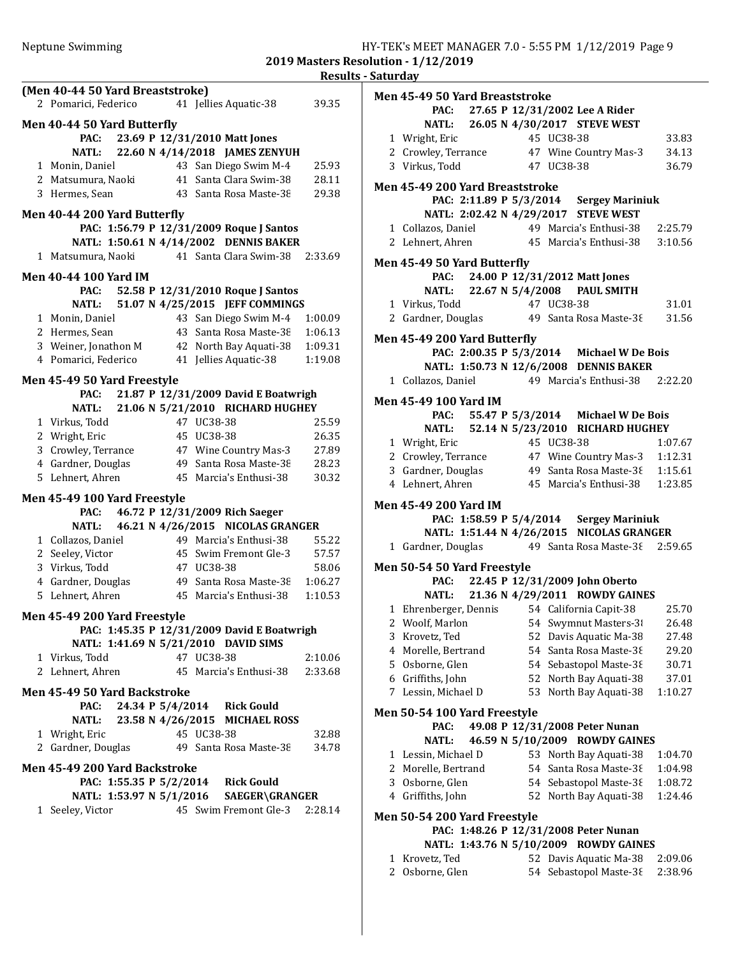Results - Saturday (Men 40-44 50 Yard Breaststroke) 2 39.35 Pomarici, Federico 41 Jellies Aquatic-38 Men 40-44 50 Yard Butterfly PAC: 23.69 P 12/31/2010 Matt Jones NATL: 22.60 N 4/14/2018 JAMES ZENYUH 1 Monin, Daniel 43 San Diego Swim M-4 25.93 2 Matsumura, Naoki 41 Santa Clara Swim-38 28.11 3 Hermes, Sean 43 Santa Rosa Maste-38 29.38 Men 40-44 200 Yard Butterfly PAC: 1:56.79 P 12/31/2009 Roque J Santos NATL: 1:50.61 N 4/14/2002 DENNIS BAKER 1 Matsumura, Naoki 41 Santa Clara Swim-38 2:33.69 Men 40-44 100 Yard IM PAC: 52.58 P 12/31/2010 Roque J Santos NATL: 51.07 N 4/25/2015 JEFF COMMINGS 1 Monin, Daniel 43 San Diego Swim M-4 1:00.09 2 Hermes, Sean 43 Santa Rosa Maste-38 1:06.13 3 Weiner, Jonathon M 42 North Bay Aquati-38 1:09.31 4 Pomarici, Federico 41 Jellies Aquatic-38 1:19.08 Men 45-49 50 Yard Freestyle PAC: 21.87 P 12/31/2009 David E Boatwrigh NATL: 21.06 N 5/21/2010 RICHARD HUGHEY 1 25.59 Virkus, Todd 47 UC38-38 2 26.35 Wright, Eric 45 UC38-38 3 Crowley, Terrance 47 Wine Country Mas-3 27.89 4 Gardner, Douglas 49 Santa Rosa Maste-38 28.23 5 30.32 Lehnert, Ahren 45 Marcia's Enthusi-38 Men 45-49 100 Yard Freestyle PAC: 46.72 P 12/31/2009 Rich Saeger NATL: 46.21 N 4/26/2015 NICOLAS GRANGER 1 55.22 Collazos, Daniel 49 Marcia's Enthusi-38 2 Seeley, Victor 45 Swim Fremont Gle-3 57.57 3 58.06 Virkus, Todd 47 UC38-38 4 Gardner, Douglas 49 Santa Rosa Maste-38 1:06.27 5 1:10.53 Lehnert, Ahren 45 Marcia's Enthusi-38 Men 45-49 200 Yard Freestyle PAC: 1:45.35 P 12/31/2009 David E Boatwrigh NATL: 1:41.69 N 5/21/2010 DAVID SIMS 1 2:10.06 Virkus, Todd 47 UC38-38 2 Lehnert, Ahren 45 Marcia's Enthusi-38 2:33.68 Men 45-49 50 Yard Backstroke PAC: 24.34 P 5/4/2014 Rick Gould NATL: 23.58 N 4/26/2015 MICHAEL ROSS 1 32.88 Wright, Eric 45 UC38-38 2 Gardner, Douglas 49 Santa Rosa Maste-38 34.78 Men 45-49 200 Yard Backstroke PAC: 1:55.35 P 5/2/2014 Rick Gould NATL: 1:53.97 N 5/1/2016 SAEGER\GRANGER 1 Seeley, Victor 45 Swim Fremont Gle-3 2:28.14

|   | Men 45-49 50 Yard Breaststroke                              |            |            |                                           |                |
|---|-------------------------------------------------------------|------------|------------|-------------------------------------------|----------------|
|   |                                                             |            |            | PAC: 27.65 P 12/31/2002 Lee A Rider       |                |
|   |                                                             |            |            | NATL: 26.05 N 4/30/2017 STEVE WEST        |                |
|   | 1 Wright, Eric<br>2 Crowley, Terrance 47 Wine Country Mas-3 |            | 45 UC38-38 |                                           | 33.83<br>34.13 |
|   | 3 Virkus, Todd                                              | 47 UC38-38 |            |                                           |                |
|   |                                                             |            |            |                                           | 36.79          |
|   | Men 45-49 200 Yard Breaststroke                             |            |            |                                           |                |
|   |                                                             |            |            | PAC: 2:11.89 P 5/3/2014 Sergey Mariniuk   |                |
|   |                                                             |            |            | NATL: 2:02.42 N 4/29/2017 STEVE WEST      |                |
|   | 1 Collazos, Daniel 49 Marcia's Enthusi-38 2:25.79           |            |            |                                           |                |
|   | 2 Lehnert, Ahren 45 Marcia's Enthusi-38 3:10.56             |            |            |                                           |                |
|   | Men 45-49 50 Yard Butterfly                                 |            |            |                                           |                |
|   |                                                             |            |            | PAC: 24.00 P 12/31/2012 Matt Jones        |                |
|   |                                                             |            |            | NATL: 22.67 N 5/4/2008 PAUL SMITH         |                |
|   | 1 Virkus, Todd                                              | 47 UC38-38 |            |                                           | 31.01          |
|   | 2 Gardner, Douglas 49 Santa Rosa Maste-38                   |            |            |                                           | 31.56          |
|   |                                                             |            |            |                                           |                |
|   | Men 45-49 200 Yard Butterfly                                |            |            |                                           |                |
|   |                                                             |            |            | PAC: 2:00.35 P 5/3/2014 Michael W De Bois |                |
|   |                                                             |            |            | NATL: 1:50.73 N 12/6/2008 DENNIS BAKER    |                |
|   | 1 Collazos, Daniel                                          |            |            | 49 Marcia's Enthusi-38 2:22.20            |                |
|   | Men 45-49 100 Yard IM                                       |            |            |                                           |                |
|   |                                                             |            |            | PAC: 55.47 P 5/3/2014 Michael W De Bois   |                |
|   |                                                             |            |            | NATL: 52.14 N 5/23/2010 RICHARD HUGHEY    |                |
|   | 1 Wright, Eric                                              | 45 UC38-38 |            |                                           | 1:07.67        |
|   | 2 Crowley, Terrance 47 Wine Country Mas-3 1:12.31           |            |            |                                           |                |
|   | 3 Gardner, Douglas 49 Santa Rosa Maste-38 1:15.61           |            |            |                                           |                |
|   | 4 Lehnert, Ahren                                            |            |            | 45 Marcia's Enthusi-38 1:23.85            |                |
|   |                                                             |            |            |                                           |                |
|   | Men 45-49 200 Yard IM                                       |            |            |                                           |                |
|   |                                                             |            |            | PAC: 1:58.59 P 5/4/2014 Sergey Mariniuk   |                |
|   |                                                             |            |            | NATL: 1:51.44 N 4/26/2015 NICOLAS GRANGER |                |
|   | 1 Gardner, Douglas 49 Santa Rosa Maste-38 2:59.65           |            |            |                                           |                |
|   | Men 50-54 50 Yard Freestyle                                 |            |            |                                           |                |
|   |                                                             |            |            | PAC: 22.45 P 12/31/2009 John Oberto       |                |
|   |                                                             |            |            | NATL: 21.36 N 4/29/2011 ROWDY GAINES      |                |
|   | 1 Ehrenberger, Dennis 54 California Capit-38                |            |            |                                           | 25.70          |
|   | 2 Woolf, Marlon 54 Swymnut Masters-31 26.48                 |            |            |                                           |                |
| 3 | Krovetz, Ted                                                |            |            | 52 Davis Aquatic Ma-38                    | 27.48          |
| 4 | Morelle, Bertrand                                           | 54         |            | Santa Rosa Maste-38                       | 29.20          |
| 5 | Osborne, Glen                                               | 54         |            | Sebastopol Maste-38                       | 30.71          |
| 6 | Griffiths, John                                             | 52         |            | North Bay Aquati-38                       | 37.01          |
| 7 | Lessin, Michael D                                           | 53         |            | North Bay Aquati-38                       | 1:10.27        |
|   |                                                             |            |            |                                           |                |
|   | <b>Men 50-54 100 Yard Freestyle</b>                         |            |            |                                           |                |
|   | PAC:                                                        |            |            | 49.08 P 12/31/2008 Peter Nunan            |                |
|   | <b>NATL:</b>                                                |            |            | 46.59 N 5/10/2009 ROWDY GAINES            |                |
| 1 | Lessin, Michael D                                           |            |            | 53 North Bay Aquati-38                    | 1:04.70        |
|   | 2 Morelle, Bertrand                                         |            |            | 54 Santa Rosa Maste-38                    | 1:04.98        |
| 3 | Osborne, Glen                                               |            |            | 54 Sebastopol Maste-38                    | 1:08.72        |
|   | 4 Griffiths, John                                           | 52         |            | North Bay Aquati-38                       | 1:24.46        |
|   | <b>Men 50-54 200 Yard Freestyle</b>                         |            |            |                                           |                |
|   |                                                             |            |            | PAC: 1:48.26 P 12/31/2008 Peter Nunan     |                |
|   |                                                             |            |            | NATL: 1:43.76 N 5/10/2009 ROWDY GAINES    |                |
| 1 | Krovetz, Ted                                                |            |            | 52 Davis Aquatic Ma-38                    | 2:09.06        |
| 2 | Osborne, Glen                                               |            |            | 54 Sebastopol Maste-38                    | 2:38.96        |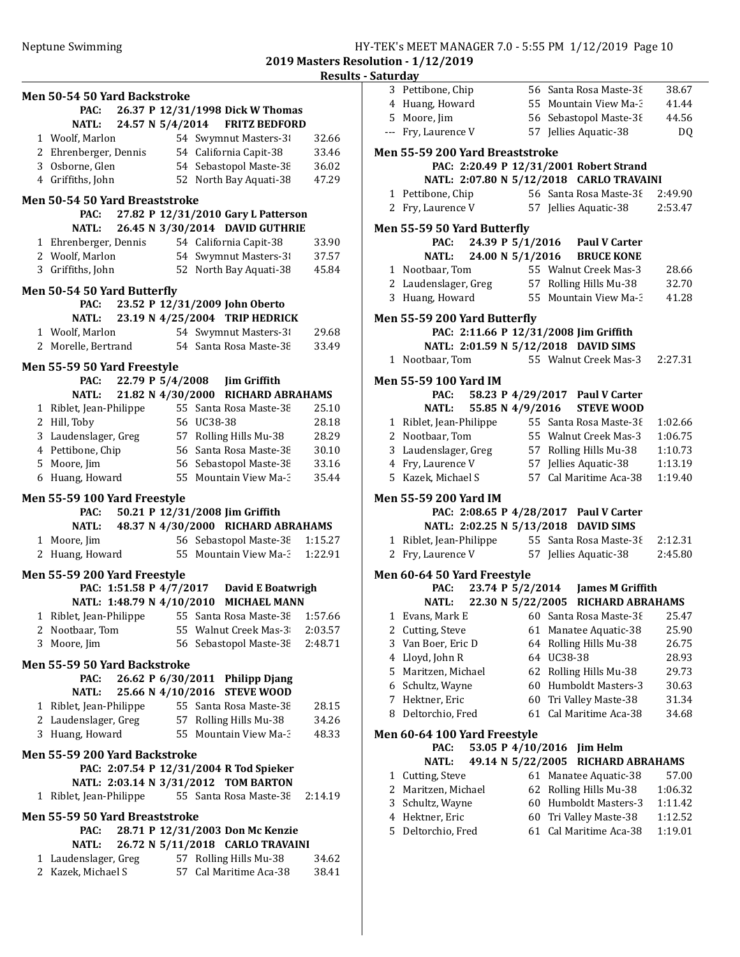|                                | Men 50-54 50 Yard Backstroke          |  |                  |                                                |         |  |
|--------------------------------|---------------------------------------|--|------------------|------------------------------------------------|---------|--|
|                                | PAC:                                  |  |                  | 26.37 P 12/31/1998 Dick W Thomas               |         |  |
|                                | <b>NATL:</b>                          |  | 24.57 N 5/4/2014 | <b>FRITZ BEDFORD</b>                           |         |  |
|                                | 1 Woolf, Marlon                       |  |                  | 54 Swymnut Masters-3                           | 32.66   |  |
|                                | 2 Ehrenberger, Dennis                 |  |                  | 54 California Capit-38                         | 33.46   |  |
|                                | 3 Osborne, Glen                       |  |                  | 54 Sebastopol Maste-38                         | 36.02   |  |
|                                | 4 Griffiths, John                     |  |                  | 52 North Bay Aquati-38                         | 47.29   |  |
| Men 50-54 50 Yard Breaststroke |                                       |  |                  |                                                |         |  |
|                                | PAC:                                  |  |                  | 27.82 P 12/31/2010 Gary L Patterson            |         |  |
|                                | NATL:                                 |  |                  | 26.45 N 3/30/2014 DAVID GUTHRIE                |         |  |
|                                | 1 Ehrenberger, Dennis                 |  |                  | 54 California Capit-38                         | 33.90   |  |
|                                | 2 Woolf, Marlon                       |  |                  | 54 Swymnut Masters-3                           | 37.57   |  |
|                                | 3 Griffiths, John                     |  |                  | 52 North Bay Aquati-38                         | 45.84   |  |
|                                |                                       |  |                  |                                                |         |  |
|                                | Men 50-54 50 Yard Butterfly<br>PAC:   |  |                  | 23.52 P 12/31/2009 John Oberto                 |         |  |
|                                | NATL:                                 |  |                  | 23.19 N 4/25/2004 TRIP HEDRICK                 |         |  |
|                                | 1 Woolf, Marlon                       |  |                  | 54 Swymnut Masters-3                           | 29.68   |  |
|                                |                                       |  |                  | 2 Morelle, Bertrand 54 Santa Rosa Maste-38     | 33.49   |  |
|                                |                                       |  |                  |                                                |         |  |
|                                | Men 55-59 50 Yard Freestyle           |  |                  |                                                |         |  |
|                                | <b>PAC:</b>                           |  |                  | 22.79 P 5/4/2008 Jim Griffith                  |         |  |
|                                | <b>NATL:</b>                          |  |                  | 21.82 N 4/30/2000 RICHARD ABRAHAMS             |         |  |
|                                | 1 Riblet, Jean-Philippe               |  |                  | 55 Santa Rosa Maste-38                         | 25.10   |  |
|                                | 2 Hill, Toby                          |  |                  | 56 UC38-38                                     | 28.18   |  |
|                                | 3 Laudenslager, Greg                  |  |                  | 57 Rolling Hills Mu-38                         | 28.29   |  |
|                                | 4 Pettibone, Chip                     |  |                  | 56 Santa Rosa Maste-38                         | 30.10   |  |
|                                | 5 Moore, Jim                          |  |                  | 56 Sebastopol Maste-38                         | 33.16   |  |
|                                | 6 Huang, Howard                       |  |                  | 55 Mountain View Ma-3                          | 35.44   |  |
| Men 55-59 100 Yard Freestyle   |                                       |  |                  |                                                |         |  |
|                                |                                       |  |                  |                                                |         |  |
|                                | PAC:                                  |  |                  | 50.21 P 12/31/2008 Jim Griffith                |         |  |
|                                | <b>NATL:</b>                          |  |                  | 48.37 N 4/30/2000 RICHARD ABRAHAMS             |         |  |
|                                | 1 Moore, Jim                          |  |                  | 56 Sebastopol Maste-38                         | 1:15.27 |  |
|                                | 2 Huang, Howard                       |  |                  | 55 Mountain View Ma-3                          | 1:22.91 |  |
|                                |                                       |  |                  |                                                |         |  |
|                                | Men 55-59 200 Yard Freestyle          |  |                  |                                                |         |  |
|                                |                                       |  |                  | PAC: 1:51.58 P 4/7/2017 David E Boatwrigh      |         |  |
|                                |                                       |  |                  | NATL: 1:48.79 N 4/10/2010 MICHAEL MANN         |         |  |
|                                | 1 Riblet, Jean-Philippe               |  |                  | 55 Santa Rosa Maste-38 1:57.66                 |         |  |
|                                | 2 Nootbaar, Tom<br>3 Moore, Jim       |  |                  | 55 Walnut Creek Mas-3 2:03.57                  |         |  |
|                                |                                       |  |                  | 56 Sebastopol Maste-38 2:48.71                 |         |  |
|                                | Men 55-59 50 Yard Backstroke          |  |                  |                                                |         |  |
|                                | PAC:                                  |  |                  | 26.62 P 6/30/2011 Philipp Djang                |         |  |
|                                | NATL:                                 |  |                  | 25.66 N 4/10/2016 STEVE WOOD                   |         |  |
|                                | 1 Riblet, Jean-Philippe               |  |                  | 55 Santa Rosa Maste-38                         | 28.15   |  |
|                                | 2 Laudenslager, Greg                  |  |                  | 57 Rolling Hills Mu-38                         | 34.26   |  |
|                                | 3 Huang, Howard                       |  |                  | 55 Mountain View Ma-3                          | 48.33   |  |
|                                | Men 55-59 200 Yard Backstroke         |  |                  |                                                |         |  |
|                                |                                       |  |                  | PAC: 2:07.54 P 12/31/2004 R Tod Spieker        |         |  |
|                                |                                       |  |                  | NATL: 2:03.14 N 3/31/2012 TOM BARTON           |         |  |
|                                |                                       |  |                  | 1 Riblet, Jean-Philippe 55 Santa Rosa Maste-38 | 2:14.19 |  |
|                                | <b>Men 55-59 50 Yard Breaststroke</b> |  |                  |                                                |         |  |
|                                | PAC:                                  |  |                  | 28.71 P 12/31/2003 Don Mc Kenzie               |         |  |
|                                | NATL:                                 |  |                  | 26.72 N 5/11/2018 CARLO TRAVAINI               |         |  |
|                                |                                       |  |                  | 1 Laudenslager, Greg 57 Rolling Hills Mu-38    | 34.62   |  |
|                                | 2 Kazek, Michael S                    |  |                  | 57 Cal Maritime Aca-38                         | 38.41   |  |

|   | aturuay                                 |                   |                                                               |                    |
|---|-----------------------------------------|-------------------|---------------------------------------------------------------|--------------------|
|   | 3 Pettibone, Chip                       |                   | 56 Santa Rosa Maste-38                                        | 38.67              |
|   | 4 Huang, Howard                         |                   | 55 Mountain View Ma-3                                         | 41.44              |
|   | 5 Moore, Jim                            |                   | 56 Sebastopol Maste-38                                        | 44.56              |
|   | --- Fry, Laurence V                     |                   | 57 Jellies Aquatic-38                                         | DQ                 |
|   | Men 55-59 200 Yard Breaststroke         |                   |                                                               |                    |
|   |                                         |                   | PAC: 2:20.49 P 12/31/2001 Robert Strand                       |                    |
|   |                                         |                   | NATL: 2:07.80 N 5/12/2018 CARLO TRAVAINI                      |                    |
|   | 1 Pettibone, Chip                       |                   | 56 Santa Rosa Maste-38 2:49.90                                |                    |
|   | 2 Fry, Laurence V 57 Jellies Aquatic-38 |                   |                                                               | 2:53.47            |
|   |                                         |                   |                                                               |                    |
|   | <b>Men 55-59 50 Yard Butterfly</b>      |                   |                                                               |                    |
|   | PAC:                                    |                   | 24.39 P 5/1/2016 Paul V Carter<br>24.00 N 5/1/2016 BRUCE KONE |                    |
|   | <b>NATL:</b><br>1 Nootbaar, Tom         |                   | 55 Walnut Creek Mas-3                                         | 28.66              |
|   | 2 Laudenslager, Greg                    |                   | 57 Rolling Hills Mu-38                                        | 32.70              |
|   | 3 Huang, Howard                         |                   | 55 Mountain View Ma-3                                         | 41.28              |
|   |                                         |                   |                                                               |                    |
|   | Men 55-59 200 Yard Butterfly            |                   |                                                               |                    |
|   |                                         |                   | PAC: 2:11.66 P 12/31/2008 Jim Griffith                        |                    |
|   |                                         |                   | NATL: 2:01.59 N 5/12/2018 DAVID SIMS                          |                    |
|   | 1 Nootbaar, Tom                         |                   | 55 Walnut Creek Mas-3                                         | 2:27.31            |
|   | Men 55-59 100 Yard IM                   |                   |                                                               |                    |
|   |                                         |                   | PAC: 58.23 P 4/29/2017 Paul V Carter                          |                    |
|   |                                         |                   | NATL: 55.85 N 4/9/2016 STEVE WOOD                             |                    |
|   | 1 Riblet, Jean-Philippe                 |                   | 55 Santa Rosa Maste-38                                        | 1:02.66            |
|   | 2 Nootbaar, Tom                         |                   | 55 Walnut Creek Mas-3                                         | 1:06.75            |
|   | 3 Laudenslager, Greg                    |                   | 57 Rolling Hills Mu-38                                        | 1:10.73            |
|   | 4 Fry, Laurence V                       |                   | 57 Jellies Aquatic-38                                         | 1:13.19            |
|   | 5 Kazek, Michael S                      |                   | 57 Cal Maritime Aca-38                                        | 1:19.40            |
|   | Men 55-59 200 Yard IM                   |                   |                                                               |                    |
|   |                                         |                   | PAC: 2:08.65 P 4/28/2017 Paul V Carter                        |                    |
|   |                                         |                   | NATL: 2:02.25 N 5/13/2018 DAVID SIMS                          |                    |
|   |                                         |                   | 1 Riblet, Jean-Philippe 55 Santa Rosa Maste-38 2:12.31        |                    |
| 2 |                                         |                   | Fry, Laurence V 57 Jellies Aquatic-38                         | 2:45.80            |
|   | Men 60-64 50 Yard Freestyle             |                   |                                                               |                    |
|   |                                         |                   | PAC: 23.74 P 5/2/2014 James M Griffith                        |                    |
|   |                                         |                   | NATL: 22.30 N 5/22/2005 RICHARD ABRAHAMS                      |                    |
|   |                                         |                   | 1 Evans, Mark E 60 Santa Rosa Maste-38 25.47                  |                    |
| 2 | Cutting, Steve                          | 61                | Manatee Aquatic-38                                            | 25.90              |
| 3 | Van Boer, Eric D                        | 64                | Rolling Hills Mu-38                                           | 26.75              |
| 4 | Lloyd, John R                           | 64                | UC38-38                                                       | 28.93              |
| 5 | Maritzen, Michael                       | 62                | Rolling Hills Mu-38                                           | 29.73              |
| 6 | Schultz, Wayne                          | 60                | Humboldt Masters-3                                            | 30.63              |
| 7 | Hektner, Eric                           | 60                | Tri Valley Maste-38                                           | 31.34              |
| 8 | Deltorchio, Fred                        | 61                | Cal Maritime Aca-38                                           | 34.68              |
|   |                                         |                   |                                                               |                    |
|   | Men 60-64 100 Yard Freestyle<br>PAC:    | 53.05 P 4/10/2016 |                                                               |                    |
|   | <b>NATL:</b>                            | 49.14 N 5/22/2005 | Jim Helm<br>RICHARD ABRAHAMS                                  |                    |
| 1 | Cutting, Steve                          |                   | 61 Manatee Aquatic-38                                         | 57.00              |
| 2 | Maritzen, Michael                       | 62                | Rolling Hills Mu-38                                           | 1:06.32            |
| 3 | Schultz, Wayne                          | 60                | Humboldt Masters-3                                            | 1:11.42            |
| 4 |                                         |                   |                                                               |                    |
|   |                                         | 60                |                                                               |                    |
| 5 | Hektner, Eric                           | 61                | Tri Valley Maste-38                                           | 1:12.52<br>1:19.01 |
|   | Deltorchio, Fred                        |                   | Cal Maritime Aca-38                                           |                    |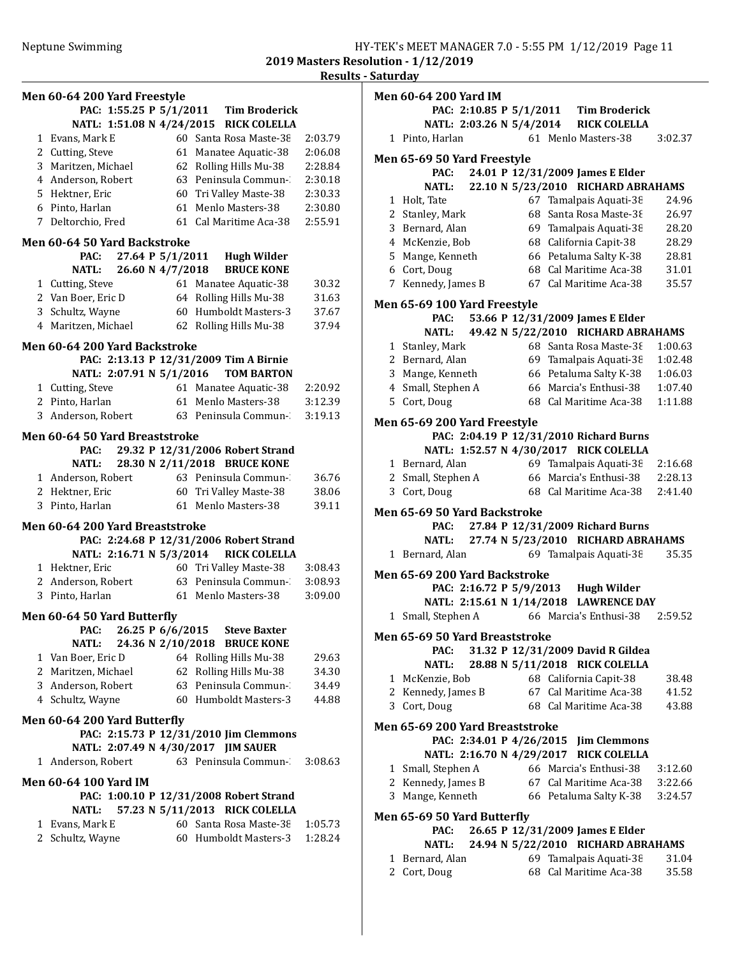|                                         |                                                                  |         | <b>Results - Saturday</b> |
|-----------------------------------------|------------------------------------------------------------------|---------|---------------------------|
| Men 60-64 200 Yard Freestyle            |                                                                  |         | <b>Men 60-</b>            |
|                                         | PAC: 1:55.25 P 5/1/2011 Tim Broderick                            |         |                           |
|                                         | NATL: 1:51.08 N 4/24/2015 RICK COLELLA                           |         |                           |
| 1 Evans, Mark E                         | 60 Santa Rosa Maste-38                                           | 2:03.79 | 1 Pint                    |
| 2 Cutting, Steve                        | 61 Manatee Aquatic-38                                            | 2:06.08 | Men 65-                   |
| 3 Maritzen, Michael                     | 62 Rolling Hills Mu-38                                           | 2:28.84 |                           |
| 4 Anderson, Robert                      | 63 Peninsula Commun-                                             | 2:30.18 |                           |
| 5 Hektner, Eric                         | 60 Tri Valley Maste-38                                           | 2:30.33 | 1 Holt                    |
| 6 Pinto, Harlan                         | 61 Menlo Masters-38                                              | 2:30.80 | 2 Star                    |
| 7 Deltorchio, Fred                      | 61 Cal Maritime Aca-38                                           | 2:55.91 | 3 Ber                     |
| Men 60-64 50 Yard Backstroke            |                                                                  |         | 4 Mck                     |
| 27.64 P 5/1/2011<br>PAC:                | <b>Hugh Wilder</b>                                               |         | 5 Mar                     |
| 26.60 N 4/7/2018<br><b>NATL:</b>        | <b>BRUCE KONE</b>                                                |         | 6 Cort                    |
| 1 Cutting, Steve                        | 61 Manatee Aquatic-38                                            | 30.32   | 7 Ken                     |
| 2 Van Boer, Eric D                      | 64 Rolling Hills Mu-38                                           | 31.63   | Men 65-                   |
| 3 Schultz, Wayne                        | 60 Humboldt Masters-3                                            | 37.67   |                           |
| 4 Maritzen, Michael                     | 62 Rolling Hills Mu-38                                           | 37.94   |                           |
| Men 60-64 200 Yard Backstroke           |                                                                  |         | 1 Star                    |
|                                         | PAC: 2:13.13 P 12/31/2009 Tim A Birnie                           |         | 2 Ber                     |
| NATL: 2:07.91 N 5/1/2016                | <b>TOM BARTON</b>                                                |         | 3 Mar                     |
| 1 Cutting, Steve                        | 61 Manatee Aquatic-38                                            | 2:20.92 | 4 Sma                     |
| 2 Pinto, Harlan                         | 61 Menlo Masters-38                                              | 3:12.39 | 5 Cort                    |
| 3 Anderson, Robert 63 Peninsula Commun- |                                                                  | 3:19.13 |                           |
|                                         |                                                                  |         | Men 65-                   |
| Men 60-64 50 Yard Breaststroke          |                                                                  |         |                           |
| PAC:<br>NATL:                           | 29.32 P 12/31/2006 Robert Strand<br>28.30 N 2/11/2018 BRUCE KONE |         | 1 Ber                     |
| 1 Anderson, Robert                      | 63 Peninsula Commun-                                             | 36.76   | 2 Sma                     |
| 2 Hektner, Eric                         | 60 Tri Valley Maste-38                                           | 38.06   | 3 Cort                    |
| 3 Pinto, Harlan                         | 61 Menlo Masters-38                                              | 39.11   |                           |
|                                         |                                                                  |         | Men 65-                   |
| Men 60-64 200 Yard Breaststroke         |                                                                  |         |                           |
|                                         | PAC: 2:24.68 P 12/31/2006 Robert Strand                          |         |                           |
| NATL: 2:16.71 N 5/3/2014                | <b>RICK COLELLA</b>                                              |         | 1 Beri                    |
| 1 Hektner, Eric                         | 60 Tri Valley Maste-38                                           | 3:08.43 | Men 65-                   |
| 2 Anderson, Robert 63 Peninsula Commun- |                                                                  | 3:08.93 |                           |
| 3 Pinto, Harlan                         | 61 Menlo Masters-38                                              | 3:09.00 |                           |
| Men 60-64 50 Yard Butterfly             |                                                                  |         | 1 Sma                     |
| PAC:                                    | 26.25 P 6/6/2015 Steve Baxter                                    |         | Men 65-                   |
| <b>NATL:</b>                            | 24.36 N 2/10/2018 BRUCE KONE                                     |         |                           |
| 1 Van Boer, Eric D                      | 64 Rolling Hills Mu-38                                           | 29.63   |                           |
| 2 Maritzen, Michael                     | 62 Rolling Hills Mu-38                                           | 34.30   | 1 Mck                     |
| 3 Anderson, Robert                      | 63 Peninsula Commun-                                             | 34.49   | 2 Ken                     |
| 4 Schultz, Wayne                        | 60 Humboldt Masters-3                                            | 44.88   | 3 Cort                    |
| Men 60-64 200 Yard Butterfly            |                                                                  |         |                           |
|                                         | PAC: 2:15.73 P 12/31/2010 Jim Clemmons                           |         | Men 65-                   |
| NATL: 2:07.49 N 4/30/2017 JIM SAUER     |                                                                  |         |                           |
| 1 Anderson, Robert                      | 63 Peninsula Commun-                                             | 3:08.63 | 1 Sma                     |
| <b>Men 60-64 100 Yard IM</b>            |                                                                  |         | 2 Ken                     |
|                                         | PAC: 1:00.10 P 12/31/2008 Robert Strand                          |         | 3 Mar                     |
| NATL:                                   | 57.23 N 5/11/2013 RICK COLELLA                                   |         |                           |
| 1 Evans, Mark E                         | 60 Santa Rosa Maste-38                                           | 1:05.73 | Men 65-                   |
| 2 Schultz, Wayne                        | 60 Humboldt Masters-3                                            | 1:28.24 |                           |
|                                         |                                                                  |         |                           |
|                                         |                                                                  |         | 1 Beri<br>$2$ Cord        |

| <b>Men 60-64 200 Yard IM</b>        |                          |  |                                         |         |
|-------------------------------------|--------------------------|--|-----------------------------------------|---------|
|                                     |                          |  | PAC: 2:10.85 P 5/1/2011 Tim Broderick   |         |
|                                     |                          |  | NATL: 2:03.26 N 5/4/2014 RICK COLELLA   |         |
| 1 Pinto, Harlan                     |                          |  | 61 Menlo Masters-38                     | 3:02.37 |
| Men 65-69 50 Yard Freestyle         |                          |  |                                         |         |
| PAC:                                |                          |  | 24.01 P 12/31/2009 James E Elder        |         |
| <b>NATL:</b>                        |                          |  | 22.10 N 5/23/2010 RICHARD ABRAHAMS      |         |
| 1 Holt, Tate                        |                          |  | 67 Tamalpais Aquati-38                  | 24.96   |
| 2 Stanley, Mark                     |                          |  | 68 Santa Rosa Maste-38                  | 26.97   |
| 3 Bernard, Alan                     |                          |  | 69 Tamalpais Aquati-38                  | 28.20   |
| 4 McKenzie, Bob                     |                          |  | 68 California Capit-38                  | 28.29   |
| 5 Mange, Kenneth                    |                          |  | 66 Petaluma Salty K-38                  | 28.81   |
| 6 Cort, Doug                        |                          |  | 68 Cal Maritime Aca-38                  | 31.01   |
| 7 Kennedy, James B                  |                          |  | 67 Cal Maritime Aca-38                  | 35.57   |
| Men 65-69 100 Yard Freestyle        |                          |  |                                         |         |
| PAC:                                |                          |  | 53.66 P 12/31/2009 James E Elder        |         |
| NATL:                               |                          |  | 49.42 N 5/22/2010 RICHARD ABRAHAMS      |         |
| 1 Stanley, Mark                     |                          |  | 68 Santa Rosa Maste-38                  | 1:00.63 |
| 2 Bernard, Alan                     |                          |  | 69 Tamalpais Aquati-38                  | 1:02.48 |
| 3 Mange, Kenneth                    |                          |  | 66 Petaluma Salty K-38                  | 1:06.03 |
| 4 Small, Stephen A                  |                          |  | 66 Marcia's Enthusi-38                  | 1:07.40 |
| 5 Cort, Doug                        |                          |  | 68 Cal Maritime Aca-38                  | 1:11.88 |
|                                     |                          |  |                                         |         |
| Men 65-69 200 Yard Freestyle        |                          |  | PAC: 2:04.19 P 12/31/2010 Richard Burns |         |
|                                     |                          |  | NATL: 1:52.57 N 4/30/2017 RICK COLELLA  |         |
| 1 Bernard, Alan                     |                          |  | 69 Tamalpais Aquati-38                  | 2:16.68 |
| 2 Small, Stephen A                  |                          |  | 66 Marcia's Enthusi-38                  | 2:28.13 |
| 3 Cort, Doug                        |                          |  | 68 Cal Maritime Aca-38                  | 2:41.40 |
|                                     |                          |  |                                         |         |
| Men 65-69 50 Yard Backstroke        |                          |  |                                         |         |
| PAC:                                |                          |  | 27.84 P 12/31/2009 Richard Burns        |         |
| NATL:                               |                          |  | 27.74 N 5/23/2010 RICHARD ABRAHAMS      |         |
| 1 Bernard, Alan                     |                          |  | 69 Tamalpais Aquati-38                  | 35.35   |
| Men 65-69 200 Yard Backstroke       |                          |  |                                         |         |
|                                     |                          |  | PAC: 2:16.72 P 5/9/2013 Hugh Wilder     |         |
|                                     |                          |  | NATL: 2:15.61 N 1/14/2018 LAWRENCE DAY  |         |
| 1 Small, Stephen A                  |                          |  | 66 Marcia's Enthusi-38 2:59.52          |         |
| Men 65-69 50 Yard Breaststroke      |                          |  |                                         |         |
| PAC:                                |                          |  | 31.32 P 12/31/2009 David R Gildea       |         |
| <b>NATL:</b>                        |                          |  | 28.88 N 5/11/2018 RICK COLELLA          |         |
| 1 McKenzie, Bob                     |                          |  | 68 California Capit-38                  | 38.48   |
| 2 Kennedy, James B                  |                          |  | 67 Cal Maritime Aca-38                  | 41.52   |
| 3 Cort, Doug                        |                          |  | 68 Cal Maritime Aca-38                  | 43.88   |
| Men 65-69 200 Yard Breaststroke     |                          |  |                                         |         |
|                                     | PAC: 2:34.01 P 4/26/2015 |  | <b>Jim Clemmons</b>                     |         |
|                                     |                          |  | NATL: 2:16.70 N 4/29/2017 RICK COLELLA  |         |
| 1 Small, Stephen A                  |                          |  | 66 Marcia's Enthusi-38                  | 3:12.60 |
| 2 Kennedy, James B                  |                          |  | 67 Cal Maritime Aca-38                  | 3:22.66 |
| 3 Mange, Kenneth                    |                          |  | 66 Petaluma Salty K-38                  | 3:24.57 |
|                                     |                          |  |                                         |         |
| Men 65-69 50 Yard Butterfly<br>PAC: |                          |  | 26.65 P 12/31/2009 James E Elder        |         |
| <b>NATL:</b>                        |                          |  | 24.94 N 5/22/2010 RICHARD ABRAHAMS      |         |
| 1 Bernard, Alan                     |                          |  | 69 Tamalpais Aquati-38                  | 31.04   |
| 2 Cort, Doug                        |                          |  | 68 Cal Maritime Aca-38                  | 35.58   |
|                                     |                          |  |                                         |         |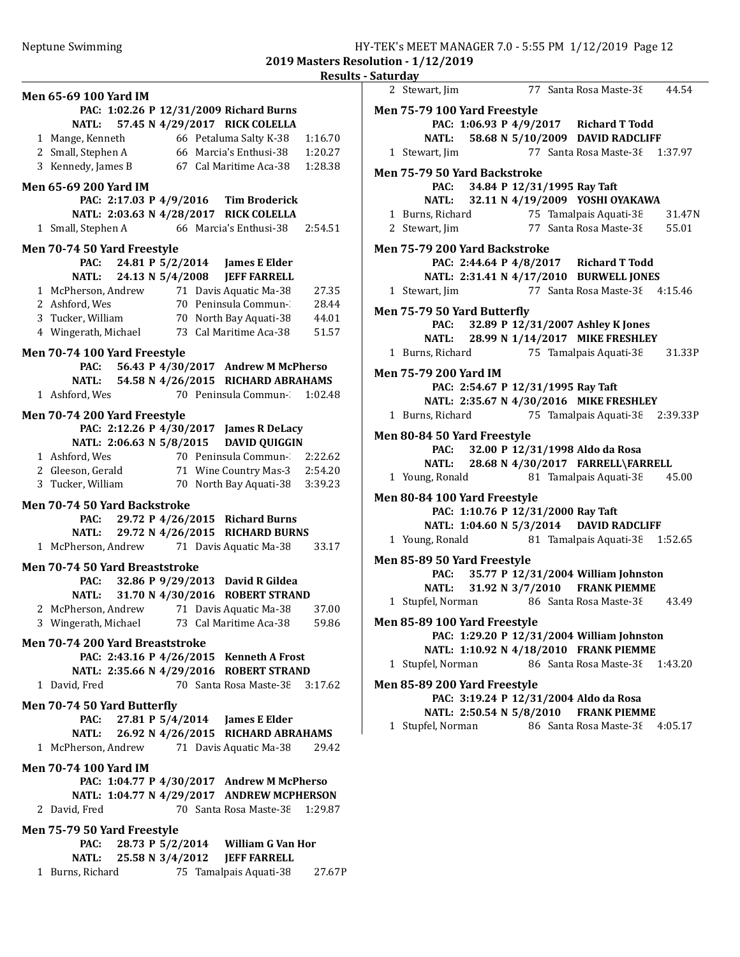Results - Saturday Men 65-69 100 Yard IM PAC: 1:02.26 P 12/31/2009 Richard Burns NATL: 57.45 N 4/29/2017 RICK COLELLA 1 Mange, Kenneth 66 Petaluma Salty K-38 1:16.70 2 Small, Stephen A 66 Marcia's Enthusi-38 1:20.27 3 Kennedy, James B 67 Cal Maritime Aca-38 1:28.38 Men 65-69 200 Yard IM PAC: 2:17.03 P 4/9/2016 Tim Broderick NATL: 2:03.63 N 4/28/2017 RICK COLELLA 1 Small, Stephen A 66 Marcia's Enthusi-38 2:54.51 Men 70-74 50 Yard Freestyle PAC: 24.81 P 5/2/2014 James E Elder NATL: 24.13 N 5/4/2008 JEFF FARRELL 1 McPherson, Andrew 71 Davis Aquatic Ma-38 27.35 2 Ashford, Wes 70 Peninsula Commun-28.44<br>3 Tucker, William 70 North Bay Aquati-38 44.01 70 North Bay Aquati-38 44.01 4 Wingerath, Michael 73 Cal Maritime Aca-38 51.57 Men 70-74 100 Yard Freestyle PAC: 56.43 P 4/30/2017 Andrew M McPherso **NATL: 54.58 N 4/26/2015 RICHARD ABRAHAMS**<br>1 Ashford, Wes 70 Peninsula Commun- 1:02.4 70 Peninsula Commun-31:02.48 Men 70-74 200 Yard Freestyle PAC: 2:12.26 P 4/30/2017 James R DeLacy NATL: 2:06.63 N 5/8/2015 DAVID QUIGGIN 1 Ashford, Wes 70 Peninsula Commun-3822.62 2 Gleeson, Gerald 71 Wine Country Mas-3 2:54.20 3 3:39.23 Tucker, William 70 North Bay Aquati-38 Men 70-74 50 Yard Backstroke PAC: 29.72 P 4/26/2015 Richard Burns NATL: 29.72 N 4/26/2015 RICHARD BURNS 1 33.17 McPherson, Andrew 71 Davis Aquatic Ma-38 Men 70-74 50 Yard Breaststroke PAC: 32.86 P 9/29/2013 David R Gildea NATL: 31.70 N 4/30/2016 ROBERT STRAND 2 McPherson, Andrew 71 Davis Aquatic Ma-38 37.00 3 59.86 Wingerath, Michael 73 Cal Maritime Aca-38 Men 70-74 200 Yard Breaststroke PAC: 2:43.16 P 4/26/2015 Kenneth A Frost NATL: 2:35.66 N 4/29/2016 ROBERT STRAND 1 David, Fred 70 Santa Rosa Maste-38 3:17.62 Men 70-74 50 Yard Butterfly PAC: 27.81 P 5/4/2014 James E Elder NATL: 26.92 N 4/26/2015 RICHARD ABRAHAMS 1 McPherson, Andrew 71 Davis Aquatic Ma-38 29.42 Men 70-74 100 Yard IM PAC: 1:04.77 P 4/30/2017 Andrew M McPherso NATL: 1:04.77 N 4/29/2017 ANDREW MCPHERSON 2 David, Fred 70 Santa Rosa Maste-38 1:29.87 Men 75-79 50 Yard Freestyle PAC: 28.73 P 5/2/2014 William G Van Hor NATL: 25.58 N 3/4/2012 JEFF FARRELL 1 Burns, Richard 75 Tamalpais Aquati-38 27.67P 2 Stewart, Jim 77 Santa Rosa Maste-38 44.54 Men 75-79 100 Yard Freestyle PAC: 1:06.93 P 4/9/2017 Richard T Todd NATL: 58.68 N 5/10/2009 DAVID RADCLIFF 1 Stewart, Jim 77 Santa Rosa Maste-38 1:37.97 Men 75-79 50 Yard Backstroke PAC: 34.84 P 12/31/1995 Ray Taft NATL: 32.11 N 4/19/2009 YOSHI OYAKAWA 1 31.47N Burns, Richard 75 Tamalpais Aquati-38 2 Stewart, Jim 77 Santa Rosa Maste-38 55.01 Men 75-79 200 Yard Backstroke PAC: 2:44.64 P 4/8/2017 Richard T Todd NATL: 2:31.41 N 4/17/2010 BURWELL JONES 1 Stewart, Jim 77 Santa Rosa Maste-38 4:15.46 Men 75-79 50 Yard Butterfly PAC: 32.89 P 12/31/2007 Ashley K Jones NATL: 28.99 N 1/14/2017 MIKE FRESHLEY 1 Burns, Richard 75 Tamalpais Aquati-38 31.33P Men 75-79 200 Yard IM PAC: 2:54.67 P 12/31/1995 Ray Taft NATL: 2:35.67 N 4/30/2016 MIKE FRESHLEY 1 Burns, Richard 75 Tamalpais Aquati-38 2:39.33P Men 80-84 50 Yard Freestyle PAC: 32.00 P 12/31/1998 Aldo da Rosa NATL: 28.68 N 4/30/2017 FARRELL\FARRELL 1 Young, Ronald 81 Tamalpais Aquati-38 45.00 Men 80-84 100 Yard Freestyle PAC: 1:10.76 P 12/31/2000 Ray Taft NATL: 1:04.60 N 5/3/2014 DAVID RADCLIFF 1 Young, Ronald 81 Tamalpais Aquati-38 1:52.65 Men 85-89 50 Yard Freestyle PAC: 35.77 P 12/31/2004 William Johnston NATL: 31.92 N 3/7/2010 FRANK PIEMME 1 Stupfel, Norman 86 Santa Rosa Maste-38 43.49 Men 85-89 100 Yard Freestyle PAC: 1:29.20 P 12/31/2004 William Johnston NATL: 1:10.92 N 4/18/2010 FRANK PIEMME 1 Stupfel, Norman 86 Santa Rosa Maste-38 1:43.20 Men 85-89 200 Yard Freestyle PAC: 3:19.24 P 12/31/2004 Aldo da Rosa NATL: 2:50.54 N 5/8/2010 FRANK PIEMME 1 Stupfel, Norman 86 Santa Rosa Maste-38 4:05.17